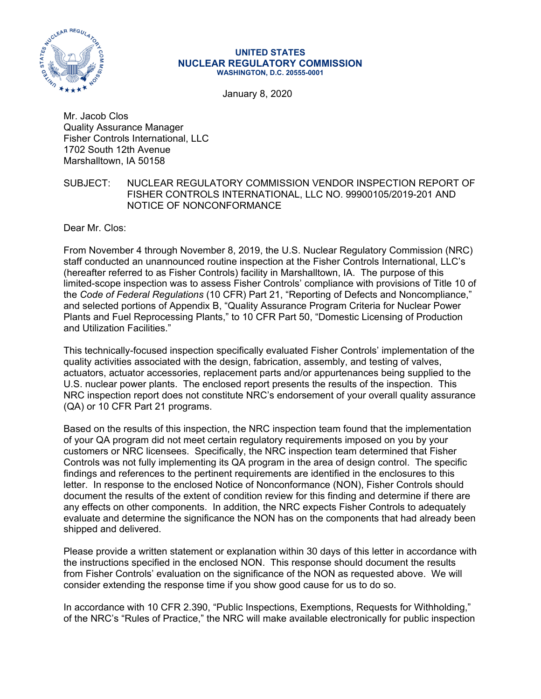

#### **UNITED STATES NUCLEAR REGULATORY COMMISSION WASHINGTON, D.C. 20555-0001**

January 8, 2020

Mr. Jacob Clos Quality Assurance Manager Fisher Controls International, LLC 1702 South 12th Avenue Marshalltown, IA 50158

## SUBJECT: NUCLEAR REGULATORY COMMISSION VENDOR INSPECTION REPORT OF FISHER CONTROLS INTERNATIONAL, LLC NO. 99900105/2019-201 AND NOTICE OF NONCONFORMANCE

Dear Mr. Clos:

From November 4 through November 8, 2019, the U.S. Nuclear Regulatory Commission (NRC) staff conducted an unannounced routine inspection at the Fisher Controls International, LLC's (hereafter referred to as Fisher Controls) facility in Marshalltown, IA. The purpose of this limited-scope inspection was to assess Fisher Controls' compliance with provisions of Title 10 of the *Code of Federal Regulations* (10 CFR) Part 21, "Reporting of Defects and Noncompliance," and selected portions of Appendix B, "Quality Assurance Program Criteria for Nuclear Power Plants and Fuel Reprocessing Plants," to 10 CFR Part 50, "Domestic Licensing of Production and Utilization Facilities."

This technically-focused inspection specifically evaluated Fisher Controls' implementation of the quality activities associated with the design, fabrication, assembly, and testing of valves, actuators, actuator accessories, replacement parts and/or appurtenances being supplied to the U.S. nuclear power plants. The enclosed report presents the results of the inspection. This NRC inspection report does not constitute NRC's endorsement of your overall quality assurance (QA) or 10 CFR Part 21 programs.

Based on the results of this inspection, the NRC inspection team found that the implementation of your QA program did not meet certain regulatory requirements imposed on you by your customers or NRC licensees. Specifically, the NRC inspection team determined that Fisher Controls was not fully implementing its QA program in the area of design control. The specific findings and references to the pertinent requirements are identified in the enclosures to this letter. In response to the enclosed Notice of Nonconformance (NON), Fisher Controls should document the results of the extent of condition review for this finding and determine if there are any effects on other components. In addition, the NRC expects Fisher Controls to adequately evaluate and determine the significance the NON has on the components that had already been shipped and delivered.

Please provide a written statement or explanation within 30 days of this letter in accordance with the instructions specified in the enclosed NON. This response should document the results from Fisher Controls' evaluation on the significance of the NON as requested above. We will consider extending the response time if you show good cause for us to do so.

In accordance with 10 CFR 2.390, "Public Inspections, Exemptions, Requests for Withholding," of the NRC's "Rules of Practice," the NRC will make available electronically for public inspection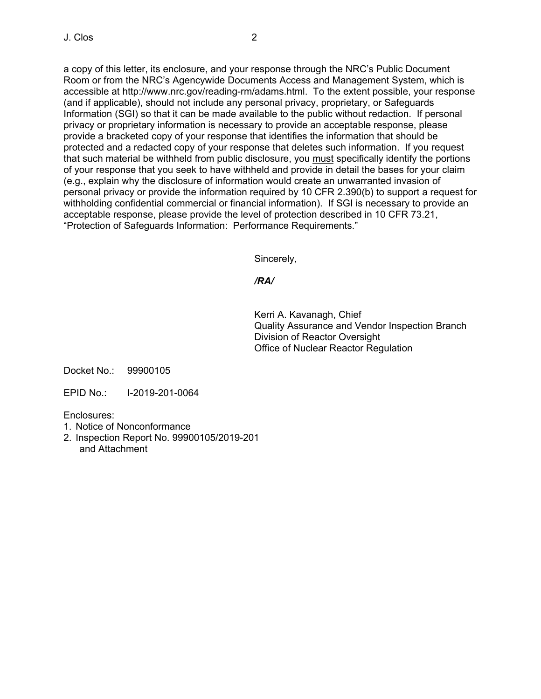a copy of this letter, its enclosure, and your response through the NRC's Public Document Room or from the NRC's Agencywide Documents Access and Management System, which is accessible at http://www.nrc.gov/reading-rm/adams.html. To the extent possible, your response (and if applicable), should not include any personal privacy, proprietary, or Safeguards Information (SGI) so that it can be made available to the public without redaction. If personal privacy or proprietary information is necessary to provide an acceptable response, please provide a bracketed copy of your response that identifies the information that should be protected and a redacted copy of your response that deletes such information. If you request that such material be withheld from public disclosure, you must specifically identify the portions of your response that you seek to have withheld and provide in detail the bases for your claim (e.g., explain why the disclosure of information would create an unwarranted invasion of personal privacy or provide the information required by 10 CFR 2.390(b) to support a request for withholding confidential commercial or financial information). If SGI is necessary to provide an acceptable response, please provide the level of protection described in 10 CFR 73.21, "Protection of Safeguards Information: Performance Requirements."

Sincerely,

# */RA/*

Kerri A. Kavanagh, Chief Quality Assurance and Vendor Inspection Branch Division of Reactor Oversight Office of Nuclear Reactor Regulation

Docket No.: 99900105

EPID No.: I-2019-201-0064

Enclosures:

- 1. Notice of Nonconformance
- 2. Inspection Report No. 99900105/2019-201 and Attachment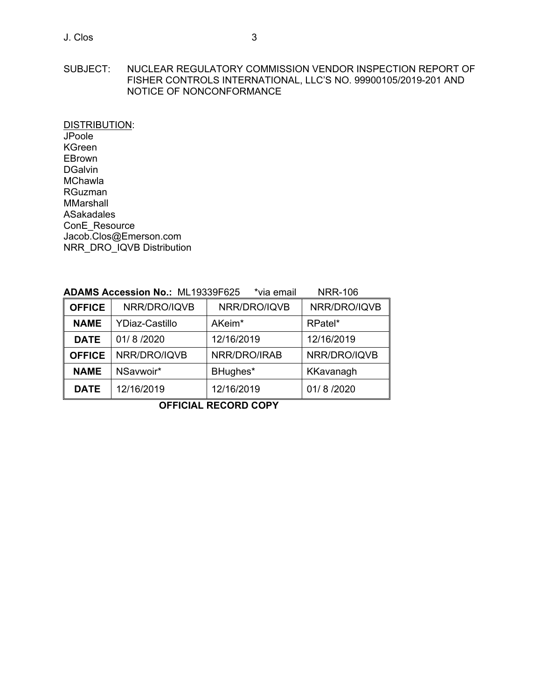DISTRIBUTION: JPoole KGreen EBrown DGalvin MChawla RGuzman MMarshall ASakadales ConE\_Resource Jacob.Clos@Emerson.com NRR\_DRO\_IQVB Distribution

|--|

| <b>OFFICE</b> | NRR/DRO/IQVB          | NRR/DRO/IQVB       | NRR/DRO/IQVB |
|---------------|-----------------------|--------------------|--------------|
| <b>NAME</b>   | <b>YDiaz-Castillo</b> | AKeim <sup>*</sup> | RPatel*      |
| <b>DATE</b>   | 01/8/2020             | 12/16/2019         | 12/16/2019   |
| <b>OFFICE</b> | NRR/DRO/IQVB          | NRR/DRO/IRAB       | NRR/DRO/IQVB |
| <b>NAME</b>   | NSavwoir*             | BHughes*           | KKavanagh    |
| <b>DATE</b>   | 12/16/2019            | 12/16/2019         | 01/8/2020    |

**OFFICIAL RECORD COPY**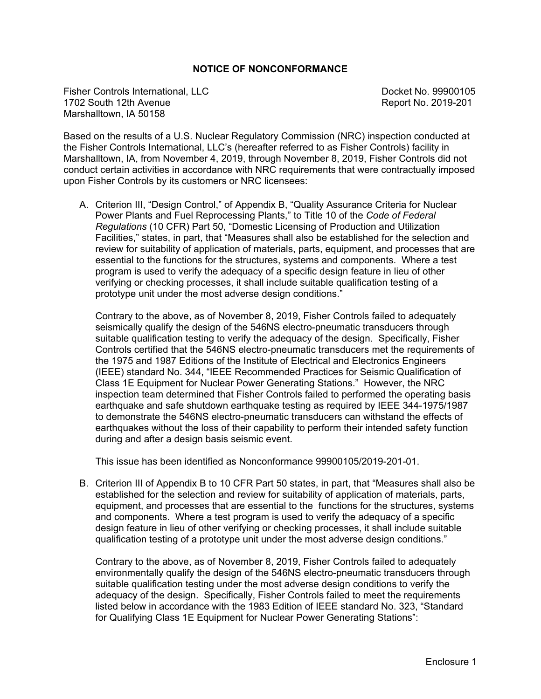# **NOTICE OF NONCONFORMANCE**

Fisher Controls International, LLC and the Control of the Docket No. 99900105 1702 South 12th Avenue **Report No. 2019-201** Marshalltown, IA 50158

Based on the results of a U.S. Nuclear Regulatory Commission (NRC) inspection conducted at the Fisher Controls International, LLC's (hereafter referred to as Fisher Controls) facility in Marshalltown, IA, from November 4, 2019, through November 8, 2019, Fisher Controls did not conduct certain activities in accordance with NRC requirements that were contractually imposed upon Fisher Controls by its customers or NRC licensees:

A. Criterion III, "Design Control," of Appendix B, "Quality Assurance Criteria for Nuclear Power Plants and Fuel Reprocessing Plants," to Title 10 of the *Code of Federal Regulations* (10 CFR) Part 50, "Domestic Licensing of Production and Utilization Facilities," states, in part, that "Measures shall also be established for the selection and review for suitability of application of materials, parts, equipment, and processes that are essential to the functions for the structures, systems and components. Where a test program is used to verify the adequacy of a specific design feature in lieu of other verifying or checking processes, it shall include suitable qualification testing of a prototype unit under the most adverse design conditions."

Contrary to the above, as of November 8, 2019, Fisher Controls failed to adequately seismically qualify the design of the 546NS electro-pneumatic transducers through suitable qualification testing to verify the adequacy of the design. Specifically, Fisher Controls certified that the 546NS electro-pneumatic transducers met the requirements of the 1975 and 1987 Editions of the Institute of Electrical and Electronics Engineers (IEEE) standard No. 344, "IEEE Recommended Practices for Seismic Qualification of Class 1E Equipment for Nuclear Power Generating Stations." However, the NRC inspection team determined that Fisher Controls failed to performed the operating basis earthquake and safe shutdown earthquake testing as required by IEEE 344-1975/1987 to demonstrate the 546NS electro-pneumatic transducers can withstand the effects of earthquakes without the loss of their capability to perform their intended safety function during and after a design basis seismic event.

This issue has been identified as Nonconformance 99900105/2019-201-01.

B. Criterion III of Appendix B to 10 CFR Part 50 states, in part, that "Measures shall also be established for the selection and review for suitability of application of materials, parts, equipment, and processes that are essential to the functions for the structures, systems and components. Where a test program is used to verify the adequacy of a specific design feature in lieu of other verifying or checking processes, it shall include suitable qualification testing of a prototype unit under the most adverse design conditions."

Contrary to the above, as of November 8, 2019, Fisher Controls failed to adequately environmentally qualify the design of the 546NS electro-pneumatic transducers through suitable qualification testing under the most adverse design conditions to verify the adequacy of the design. Specifically, Fisher Controls failed to meet the requirements listed below in accordance with the 1983 Edition of IEEE standard No. 323, "Standard for Qualifying Class 1E Equipment for Nuclear Power Generating Stations":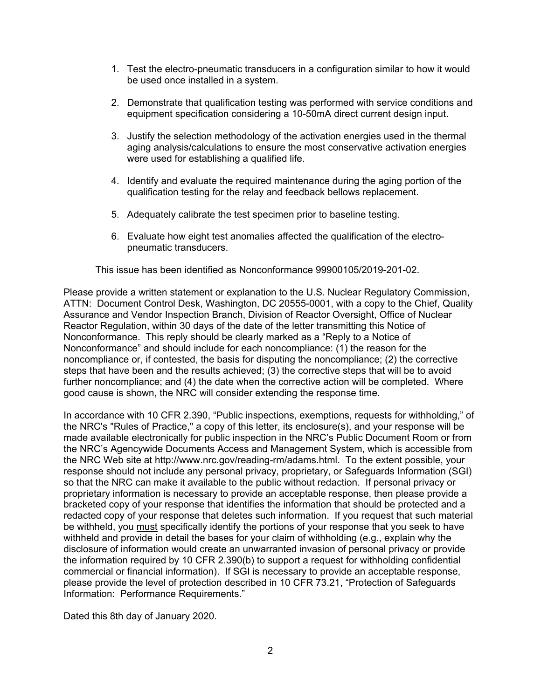- 1. Test the electro-pneumatic transducers in a configuration similar to how it would be used once installed in a system.
- 2. Demonstrate that qualification testing was performed with service conditions and equipment specification considering a 10-50mA direct current design input.
- 3. Justify the selection methodology of the activation energies used in the thermal aging analysis/calculations to ensure the most conservative activation energies were used for establishing a qualified life.
- 4. Identify and evaluate the required maintenance during the aging portion of the qualification testing for the relay and feedback bellows replacement.
- 5. Adequately calibrate the test specimen prior to baseline testing.
- 6. Evaluate how eight test anomalies affected the qualification of the electropneumatic transducers.

This issue has been identified as Nonconformance 99900105/2019-201-02.

Please provide a written statement or explanation to the U.S. Nuclear Regulatory Commission, ATTN: Document Control Desk, Washington, DC 20555-0001, with a copy to the Chief, Quality Assurance and Vendor Inspection Branch, Division of Reactor Oversight, Office of Nuclear Reactor Regulation, within 30 days of the date of the letter transmitting this Notice of Nonconformance. This reply should be clearly marked as a "Reply to a Notice of Nonconformance" and should include for each noncompliance: (1) the reason for the noncompliance or, if contested, the basis for disputing the noncompliance; (2) the corrective steps that have been and the results achieved; (3) the corrective steps that will be to avoid further noncompliance; and (4) the date when the corrective action will be completed. Where good cause is shown, the NRC will consider extending the response time.

In accordance with 10 CFR 2.390, "Public inspections, exemptions, requests for withholding," of the NRC's "Rules of Practice," a copy of this letter, its enclosure(s), and your response will be made available electronically for public inspection in the NRC's Public Document Room or from the NRC's Agencywide Documents Access and Management System, which is accessible from the NRC Web site at http://www.nrc.gov/reading-rm/adams.html. To the extent possible, your response should not include any personal privacy, proprietary, or Safeguards Information (SGI) so that the NRC can make it available to the public without redaction. If personal privacy or proprietary information is necessary to provide an acceptable response, then please provide a bracketed copy of your response that identifies the information that should be protected and a redacted copy of your response that deletes such information. If you request that such material be withheld, you must specifically identify the portions of your response that you seek to have withheld and provide in detail the bases for your claim of withholding (e.g., explain why the disclosure of information would create an unwarranted invasion of personal privacy or provide the information required by 10 CFR 2.390(b) to support a request for withholding confidential commercial or financial information). If SGI is necessary to provide an acceptable response, please provide the level of protection described in 10 CFR 73.21, "Protection of Safeguards Information: Performance Requirements."

Dated this 8th day of January 2020.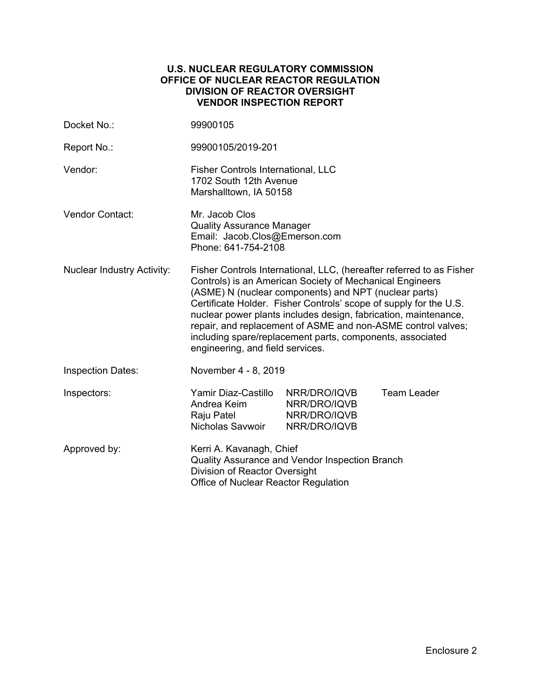## **U.S. NUCLEAR REGULATORY COMMISSION OFFICE OF NUCLEAR REACTOR REGULATION DIVISION OF REACTOR OVERSIGHT VENDOR INSPECTION REPORT**

| Docket No.:                       | 99900105                                                                                                                                                                                                                                                                                                                                                                                                                                                                                           |                                                              |                    |  |
|-----------------------------------|----------------------------------------------------------------------------------------------------------------------------------------------------------------------------------------------------------------------------------------------------------------------------------------------------------------------------------------------------------------------------------------------------------------------------------------------------------------------------------------------------|--------------------------------------------------------------|--------------------|--|
| Report No.:                       | 99900105/2019-201                                                                                                                                                                                                                                                                                                                                                                                                                                                                                  |                                                              |                    |  |
| Vendor:                           | <b>Fisher Controls International, LLC</b><br>1702 South 12th Avenue<br>Marshalltown, IA 50158                                                                                                                                                                                                                                                                                                                                                                                                      |                                                              |                    |  |
| <b>Vendor Contact:</b>            | Mr. Jacob Clos<br><b>Quality Assurance Manager</b><br>Email: Jacob.Clos@Emerson.com<br>Phone: 641-754-2108                                                                                                                                                                                                                                                                                                                                                                                         |                                                              |                    |  |
| <b>Nuclear Industry Activity:</b> | Fisher Controls International, LLC, (hereafter referred to as Fisher<br>Controls) is an American Society of Mechanical Engineers<br>(ASME) N (nuclear components) and NPT (nuclear parts)<br>Certificate Holder. Fisher Controls' scope of supply for the U.S.<br>nuclear power plants includes design, fabrication, maintenance,<br>repair, and replacement of ASME and non-ASME control valves;<br>including spare/replacement parts, components, associated<br>engineering, and field services. |                                                              |                    |  |
| <b>Inspection Dates:</b>          | November 4 - 8, 2019                                                                                                                                                                                                                                                                                                                                                                                                                                                                               |                                                              |                    |  |
| Inspectors:                       | Yamir Diaz-Castillo<br>Andrea Keim<br>Raju Patel<br>Nicholas Savwoir                                                                                                                                                                                                                                                                                                                                                                                                                               | NRR/DRO/IQVB<br>NRR/DRO/IQVB<br>NRR/DRO/IQVB<br>NRR/DRO/IQVB | <b>Team Leader</b> |  |
| Approved by:                      | Kerri A. Kavanagh, Chief<br>Quality Assurance and Vendor Inspection Branch<br>Division of Reactor Oversight<br>Office of Nuclear Reactor Regulation                                                                                                                                                                                                                                                                                                                                                |                                                              |                    |  |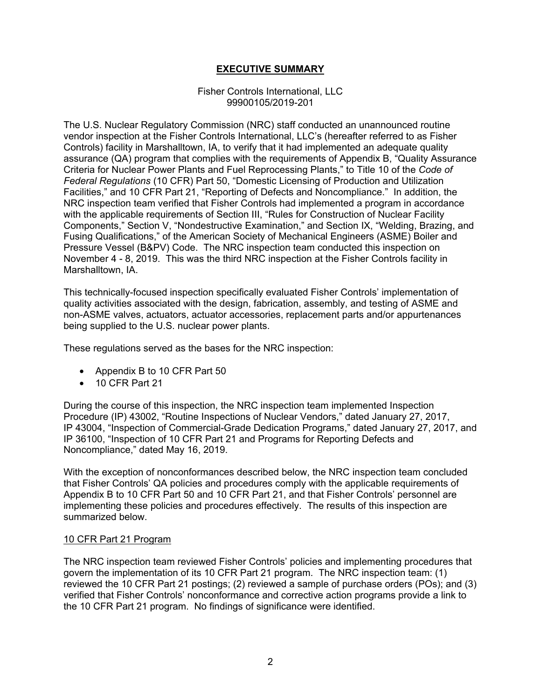# **EXECUTIVE SUMMARY**

## Fisher Controls International, LLC 99900105/2019-201

The U.S. Nuclear Regulatory Commission (NRC) staff conducted an unannounced routine vendor inspection at the Fisher Controls International, LLC's (hereafter referred to as Fisher Controls) facility in Marshalltown, IA, to verify that it had implemented an adequate quality assurance (QA) program that complies with the requirements of Appendix B, "Quality Assurance Criteria for Nuclear Power Plants and Fuel Reprocessing Plants," to Title 10 of the *Code of Federal Regulations* (10 CFR) Part 50, "Domestic Licensing of Production and Utilization Facilities," and 10 CFR Part 21, "Reporting of Defects and Noncompliance." In addition, the NRC inspection team verified that Fisher Controls had implemented a program in accordance with the applicable requirements of Section III, "Rules for Construction of Nuclear Facility Components," Section V, "Nondestructive Examination," and Section IX, "Welding, Brazing, and Fusing Qualifications," of the American Society of Mechanical Engineers (ASME) Boiler and Pressure Vessel (B&PV) Code. The NRC inspection team conducted this inspection on November 4 - 8, 2019. This was the third NRC inspection at the Fisher Controls facility in Marshalltown, IA.

This technically-focused inspection specifically evaluated Fisher Controls' implementation of quality activities associated with the design, fabrication, assembly, and testing of ASME and non-ASME valves, actuators, actuator accessories, replacement parts and/or appurtenances being supplied to the U.S. nuclear power plants.

These regulations served as the bases for the NRC inspection:

- Appendix B to 10 CFR Part 50
- 10 CFR Part 21

During the course of this inspection, the NRC inspection team implemented Inspection Procedure (IP) 43002, "Routine Inspections of Nuclear Vendors," dated January 27, 2017, IP 43004, "Inspection of Commercial-Grade Dedication Programs," dated January 27, 2017, and IP 36100, "Inspection of 10 CFR Part 21 and Programs for Reporting Defects and Noncompliance," dated May 16, 2019.

With the exception of nonconformances described below, the NRC inspection team concluded that Fisher Controls' QA policies and procedures comply with the applicable requirements of Appendix B to 10 CFR Part 50 and 10 CFR Part 21, and that Fisher Controls' personnel are implementing these policies and procedures effectively. The results of this inspection are summarized below.

## 10 CFR Part 21 Program

The NRC inspection team reviewed Fisher Controls' policies and implementing procedures that govern the implementation of its 10 CFR Part 21 program. The NRC inspection team: (1) reviewed the 10 CFR Part 21 postings; (2) reviewed a sample of purchase orders (POs); and (3) verified that Fisher Controls' nonconformance and corrective action programs provide a link to the 10 CFR Part 21 program. No findings of significance were identified.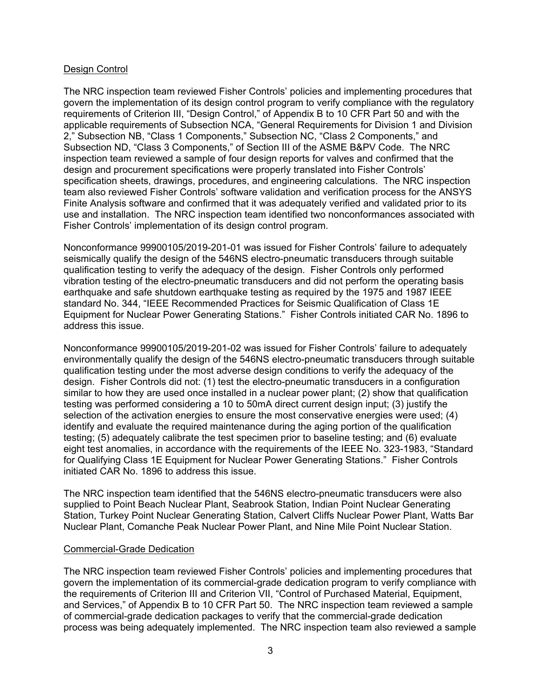## Design Control

The NRC inspection team reviewed Fisher Controls' policies and implementing procedures that govern the implementation of its design control program to verify compliance with the regulatory requirements of Criterion III, "Design Control," of Appendix B to 10 CFR Part 50 and with the applicable requirements of Subsection NCA, "General Requirements for Division 1 and Division 2," Subsection NB, "Class 1 Components," Subsection NC, "Class 2 Components," and Subsection ND, "Class 3 Components," of Section III of the ASME B&PV Code. The NRC inspection team reviewed a sample of four design reports for valves and confirmed that the design and procurement specifications were properly translated into Fisher Controls' specification sheets, drawings, procedures, and engineering calculations. The NRC inspection team also reviewed Fisher Controls' software validation and verification process for the ANSYS Finite Analysis software and confirmed that it was adequately verified and validated prior to its use and installation. The NRC inspection team identified two nonconformances associated with Fisher Controls' implementation of its design control program.

Nonconformance 99900105/2019-201-01 was issued for Fisher Controls' failure to adequately seismically qualify the design of the 546NS electro-pneumatic transducers through suitable qualification testing to verify the adequacy of the design. Fisher Controls only performed vibration testing of the electro-pneumatic transducers and did not perform the operating basis earthquake and safe shutdown earthquake testing as required by the 1975 and 1987 IEEE standard No. 344, "IEEE Recommended Practices for Seismic Qualification of Class 1E Equipment for Nuclear Power Generating Stations." Fisher Controls initiated CAR No. 1896 to address this issue.

Nonconformance 99900105/2019-201-02 was issued for Fisher Controls' failure to adequately environmentally qualify the design of the 546NS electro-pneumatic transducers through suitable qualification testing under the most adverse design conditions to verify the adequacy of the design. Fisher Controls did not: (1) test the electro-pneumatic transducers in a configuration similar to how they are used once installed in a nuclear power plant; (2) show that qualification testing was performed considering a 10 to 50mA direct current design input; (3) justify the selection of the activation energies to ensure the most conservative energies were used; (4) identify and evaluate the required maintenance during the aging portion of the qualification testing; (5) adequately calibrate the test specimen prior to baseline testing; and (6) evaluate eight test anomalies, in accordance with the requirements of the IEEE No. 323-1983, "Standard for Qualifying Class 1E Equipment for Nuclear Power Generating Stations." Fisher Controls initiated CAR No. 1896 to address this issue.

The NRC inspection team identified that the 546NS electro-pneumatic transducers were also supplied to Point Beach Nuclear Plant, Seabrook Station, Indian Point Nuclear Generating Station, Turkey Point Nuclear Generating Station, Calvert Cliffs Nuclear Power Plant, Watts Bar Nuclear Plant, Comanche Peak Nuclear Power Plant, and Nine Mile Point Nuclear Station.

## Commercial-Grade Dedication

The NRC inspection team reviewed Fisher Controls' policies and implementing procedures that govern the implementation of its commercial-grade dedication program to verify compliance with the requirements of Criterion III and Criterion VII, "Control of Purchased Material, Equipment, and Services," of Appendix B to 10 CFR Part 50. The NRC inspection team reviewed a sample of commercial-grade dedication packages to verify that the commercial-grade dedication process was being adequately implemented. The NRC inspection team also reviewed a sample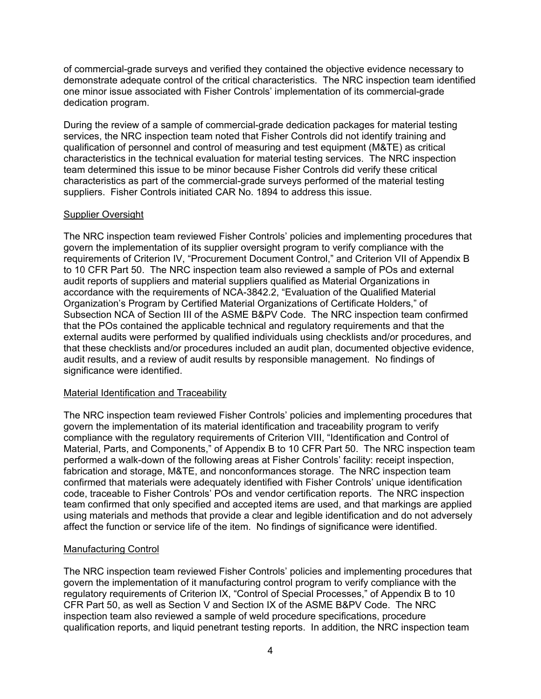of commercial-grade surveys and verified they contained the objective evidence necessary to demonstrate adequate control of the critical characteristics. The NRC inspection team identified one minor issue associated with Fisher Controls' implementation of its commercial-grade dedication program.

During the review of a sample of commercial-grade dedication packages for material testing services, the NRC inspection team noted that Fisher Controls did not identify training and qualification of personnel and control of measuring and test equipment (M&TE) as critical characteristics in the technical evaluation for material testing services. The NRC inspection team determined this issue to be minor because Fisher Controls did verify these critical characteristics as part of the commercial-grade surveys performed of the material testing suppliers. Fisher Controls initiated CAR No. 1894 to address this issue.

# Supplier Oversight

The NRC inspection team reviewed Fisher Controls' policies and implementing procedures that govern the implementation of its supplier oversight program to verify compliance with the requirements of Criterion IV, "Procurement Document Control," and Criterion VII of Appendix B to 10 CFR Part 50. The NRC inspection team also reviewed a sample of POs and external audit reports of suppliers and material suppliers qualified as Material Organizations in accordance with the requirements of NCA-3842.2, "Evaluation of the Qualified Material Organization's Program by Certified Material Organizations of Certificate Holders," of Subsection NCA of Section III of the ASME B&PV Code. The NRC inspection team confirmed that the POs contained the applicable technical and regulatory requirements and that the external audits were performed by qualified individuals using checklists and/or procedures, and that these checklists and/or procedures included an audit plan, documented objective evidence, audit results, and a review of audit results by responsible management. No findings of significance were identified.

# Material Identification and Traceability

The NRC inspection team reviewed Fisher Controls' policies and implementing procedures that govern the implementation of its material identification and traceability program to verify compliance with the regulatory requirements of Criterion VIII, "Identification and Control of Material, Parts, and Components," of Appendix B to 10 CFR Part 50. The NRC inspection team performed a walk-down of the following areas at Fisher Controls' facility: receipt inspection, fabrication and storage, M&TE, and nonconformances storage. The NRC inspection team confirmed that materials were adequately identified with Fisher Controls' unique identification code, traceable to Fisher Controls' POs and vendor certification reports. The NRC inspection team confirmed that only specified and accepted items are used, and that markings are applied using materials and methods that provide a clear and legible identification and do not adversely affect the function or service life of the item. No findings of significance were identified.

# Manufacturing Control

The NRC inspection team reviewed Fisher Controls' policies and implementing procedures that govern the implementation of it manufacturing control program to verify compliance with the regulatory requirements of Criterion IX, "Control of Special Processes," of Appendix B to 10 CFR Part 50, as well as Section V and Section IX of the ASME B&PV Code. The NRC inspection team also reviewed a sample of weld procedure specifications, procedure qualification reports, and liquid penetrant testing reports. In addition, the NRC inspection team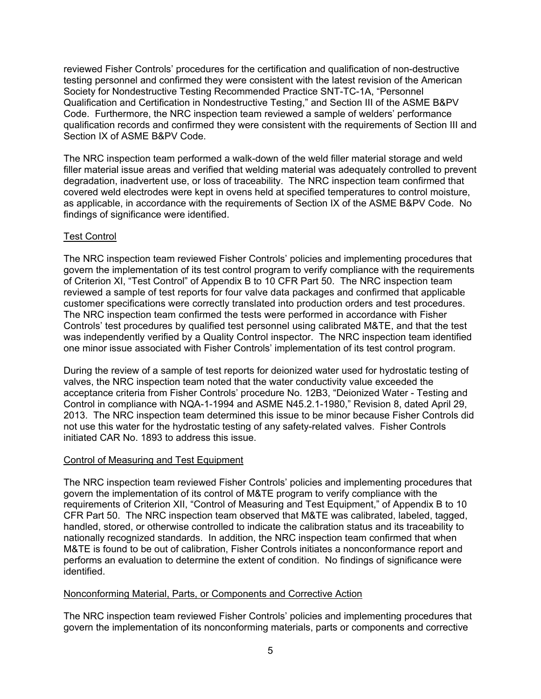reviewed Fisher Controls' procedures for the certification and qualification of non-destructive testing personnel and confirmed they were consistent with the latest revision of the American Society for Nondestructive Testing Recommended Practice SNT-TC-1A, "Personnel Qualification and Certification in Nondestructive Testing," and Section III of the ASME B&PV Code. Furthermore, the NRC inspection team reviewed a sample of welders' performance qualification records and confirmed they were consistent with the requirements of Section III and Section IX of ASME B&PV Code.

The NRC inspection team performed a walk-down of the weld filler material storage and weld filler material issue areas and verified that welding material was adequately controlled to prevent degradation, inadvertent use, or loss of traceability. The NRC inspection team confirmed that covered weld electrodes were kept in ovens held at specified temperatures to control moisture, as applicable, in accordance with the requirements of Section IX of the ASME B&PV Code. No findings of significance were identified.

# Test Control

The NRC inspection team reviewed Fisher Controls' policies and implementing procedures that govern the implementation of its test control program to verify compliance with the requirements of Criterion XI, "Test Control" of Appendix B to 10 CFR Part 50. The NRC inspection team reviewed a sample of test reports for four valve data packages and confirmed that applicable customer specifications were correctly translated into production orders and test procedures. The NRC inspection team confirmed the tests were performed in accordance with Fisher Controls' test procedures by qualified test personnel using calibrated M&TE, and that the test was independently verified by a Quality Control inspector. The NRC inspection team identified one minor issue associated with Fisher Controls' implementation of its test control program.

During the review of a sample of test reports for deionized water used for hydrostatic testing of valves, the NRC inspection team noted that the water conductivity value exceeded the acceptance criteria from Fisher Controls' procedure No. 12B3, "Deionized Water - Testing and Control in compliance with NQA-1-1994 and ASME N45.2.1-1980," Revision 8, dated April 29, 2013. The NRC inspection team determined this issue to be minor because Fisher Controls did not use this water for the hydrostatic testing of any safety-related valves. Fisher Controls initiated CAR No. 1893 to address this issue.

# Control of Measuring and Test Equipment

The NRC inspection team reviewed Fisher Controls' policies and implementing procedures that govern the implementation of its control of M&TE program to verify compliance with the requirements of Criterion XII, "Control of Measuring and Test Equipment," of Appendix B to 10 CFR Part 50. The NRC inspection team observed that M&TE was calibrated, labeled, tagged, handled, stored, or otherwise controlled to indicate the calibration status and its traceability to nationally recognized standards. In addition, the NRC inspection team confirmed that when M&TE is found to be out of calibration, Fisher Controls initiates a nonconformance report and performs an evaluation to determine the extent of condition. No findings of significance were identified.

# Nonconforming Material, Parts, or Components and Corrective Action

The NRC inspection team reviewed Fisher Controls' policies and implementing procedures that govern the implementation of its nonconforming materials, parts or components and corrective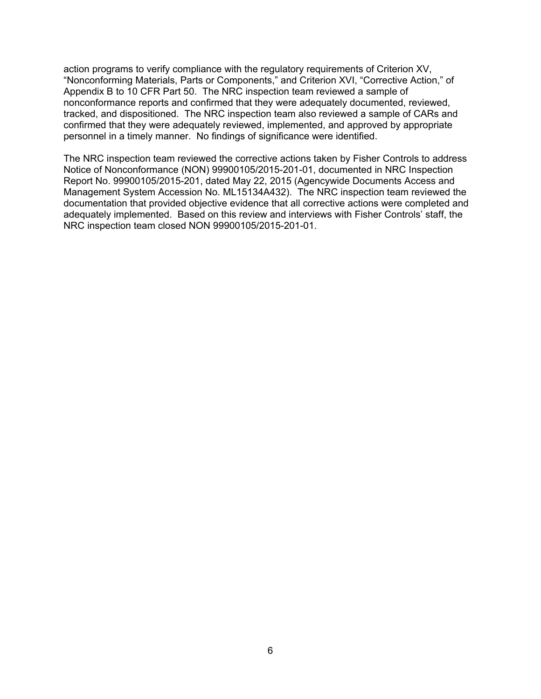action programs to verify compliance with the regulatory requirements of Criterion XV, "Nonconforming Materials, Parts or Components," and Criterion XVI, "Corrective Action," of Appendix B to 10 CFR Part 50. The NRC inspection team reviewed a sample of nonconformance reports and confirmed that they were adequately documented, reviewed, tracked, and dispositioned. The NRC inspection team also reviewed a sample of CARs and confirmed that they were adequately reviewed, implemented, and approved by appropriate personnel in a timely manner. No findings of significance were identified.

The NRC inspection team reviewed the corrective actions taken by Fisher Controls to address Notice of Nonconformance (NON) 99900105/2015-201-01, documented in NRC Inspection Report No. 99900105/2015-201, dated May 22, 2015 (Agencywide Documents Access and Management System Accession No. ML15134A432). The NRC inspection team reviewed the documentation that provided objective evidence that all corrective actions were completed and adequately implemented. Based on this review and interviews with Fisher Controls' staff, the NRC inspection team closed NON 99900105/2015-201-01.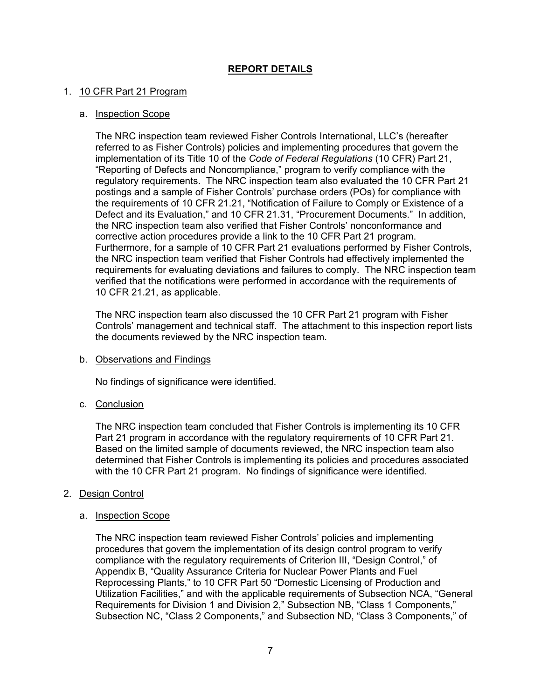# **REPORT DETAILS**

## 1. 10 CFR Part 21 Program

## a. Inspection Scope

The NRC inspection team reviewed Fisher Controls International, LLC's (hereafter referred to as Fisher Controls) policies and implementing procedures that govern the implementation of its Title 10 of the *Code of Federal Regulations* (10 CFR) Part 21, "Reporting of Defects and Noncompliance," program to verify compliance with the regulatory requirements. The NRC inspection team also evaluated the 10 CFR Part 21 postings and a sample of Fisher Controls' purchase orders (POs) for compliance with the requirements of 10 CFR 21.21, "Notification of Failure to Comply or Existence of a Defect and its Evaluation," and 10 CFR 21.31, "Procurement Documents." In addition, the NRC inspection team also verified that Fisher Controls' nonconformance and corrective action procedures provide a link to the 10 CFR Part 21 program. Furthermore, for a sample of 10 CFR Part 21 evaluations performed by Fisher Controls, the NRC inspection team verified that Fisher Controls had effectively implemented the requirements for evaluating deviations and failures to comply. The NRC inspection team verified that the notifications were performed in accordance with the requirements of 10 CFR 21.21, as applicable.

The NRC inspection team also discussed the 10 CFR Part 21 program with Fisher Controls' management and technical staff. The attachment to this inspection report lists the documents reviewed by the NRC inspection team.

## b. Observations and Findings

No findings of significance were identified.

# c. Conclusion

The NRC inspection team concluded that Fisher Controls is implementing its 10 CFR Part 21 program in accordance with the regulatory requirements of 10 CFR Part 21. Based on the limited sample of documents reviewed, the NRC inspection team also determined that Fisher Controls is implementing its policies and procedures associated with the 10 CFR Part 21 program. No findings of significance were identified.

## 2. Design Control

## a. Inspection Scope

The NRC inspection team reviewed Fisher Controls' policies and implementing procedures that govern the implementation of its design control program to verify compliance with the regulatory requirements of Criterion III, "Design Control," of Appendix B, "Quality Assurance Criteria for Nuclear Power Plants and Fuel Reprocessing Plants," to 10 CFR Part 50 "Domestic Licensing of Production and Utilization Facilities," and with the applicable requirements of Subsection NCA, "General Requirements for Division 1 and Division 2," Subsection NB, "Class 1 Components," Subsection NC, "Class 2 Components," and Subsection ND, "Class 3 Components," of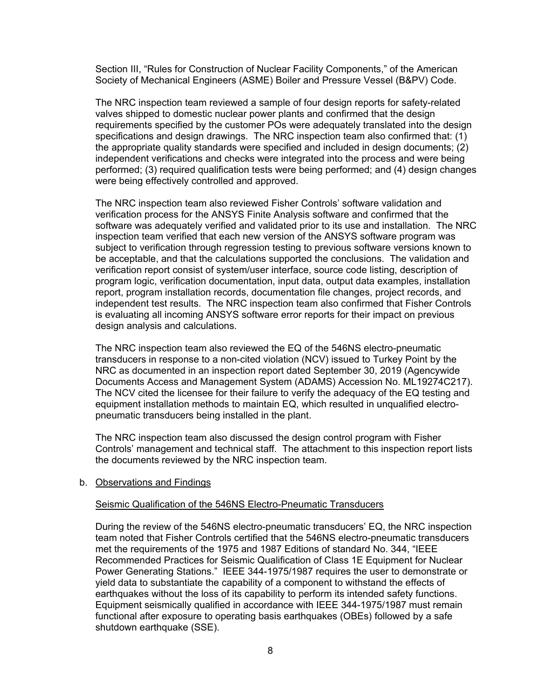Section III, "Rules for Construction of Nuclear Facility Components," of the American Society of Mechanical Engineers (ASME) Boiler and Pressure Vessel (B&PV) Code.

The NRC inspection team reviewed a sample of four design reports for safety-related valves shipped to domestic nuclear power plants and confirmed that the design requirements specified by the customer POs were adequately translated into the design specifications and design drawings. The NRC inspection team also confirmed that: (1) the appropriate quality standards were specified and included in design documents; (2) independent verifications and checks were integrated into the process and were being performed; (3) required qualification tests were being performed; and (4) design changes were being effectively controlled and approved.

The NRC inspection team also reviewed Fisher Controls' software validation and verification process for the ANSYS Finite Analysis software and confirmed that the software was adequately verified and validated prior to its use and installation. The NRC inspection team verified that each new version of the ANSYS software program was subject to verification through regression testing to previous software versions known to be acceptable, and that the calculations supported the conclusions. The validation and verification report consist of system/user interface, source code listing, description of program logic, verification documentation, input data, output data examples, installation report, program installation records, documentation file changes, project records, and independent test results. The NRC inspection team also confirmed that Fisher Controls is evaluating all incoming ANSYS software error reports for their impact on previous design analysis and calculations.

The NRC inspection team also reviewed the EQ of the 546NS electro-pneumatic transducers in response to a non-cited violation (NCV) issued to Turkey Point by the NRC as documented in an inspection report dated September 30, 2019 (Agencywide Documents Access and Management System (ADAMS) Accession No. ML19274C217). The NCV cited the licensee for their failure to verify the adequacy of the EQ testing and equipment installation methods to maintain EQ, which resulted in unqualified electropneumatic transducers being installed in the plant.

The NRC inspection team also discussed the design control program with Fisher Controls' management and technical staff. The attachment to this inspection report lists the documents reviewed by the NRC inspection team.

#### b. Observations and Findings

#### Seismic Qualification of the 546NS Electro-Pneumatic Transducers

During the review of the 546NS electro-pneumatic transducers' EQ, the NRC inspection team noted that Fisher Controls certified that the 546NS electro-pneumatic transducers met the requirements of the 1975 and 1987 Editions of standard No. 344, "IEEE Recommended Practices for Seismic Qualification of Class 1E Equipment for Nuclear Power Generating Stations." IEEE 344-1975/1987 requires the user to demonstrate or yield data to substantiate the capability of a component to withstand the effects of earthquakes without the loss of its capability to perform its intended safety functions. Equipment seismically qualified in accordance with IEEE 344-1975/1987 must remain functional after exposure to operating basis earthquakes (OBEs) followed by a safe shutdown earthquake (SSE).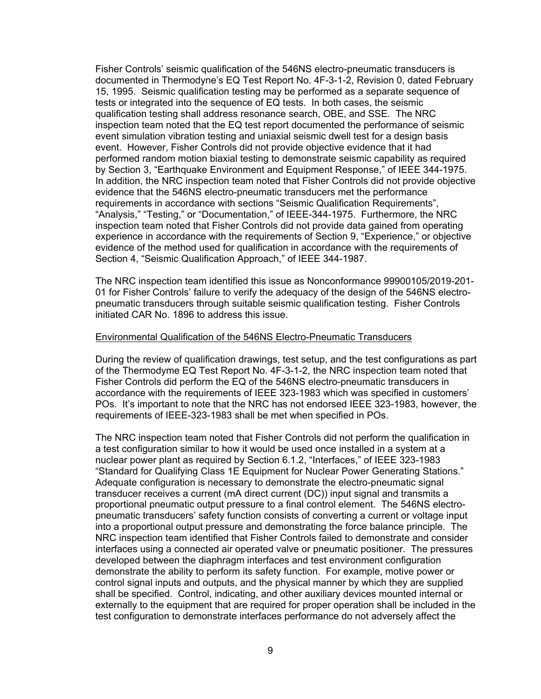Fisher Controls' seismic qualification of the 546NS electro-pneumatic transducers is documented in Thermodyne's EQ Test Report No. 4F-3-1-2, Revision 0, dated February 15, 1995. Seismic qualification testing may be performed as a separate sequence of tests or integrated into the sequence of EQ tests. In both cases, the seismic qualification testing shall address resonance search, OBE, and SSE. The NRC inspection team noted that the EQ test report documented the performance of seismic event simulation vibration testing and uniaxial seismic dwell test for a design basis event. However, Fisher Controls did not provide objective evidence that it had performed random motion biaxial testing to demonstrate seismic capability as required by Section 3, "Earthquake Environment and Equipment Response," of IEEE 344-1975. In addition, the NRC inspection team noted that Fisher Controls did not provide objective evidence that the 546NS electro-pneumatic transducers met the performance requirements in accordance with sections "Seismic Qualification Requirements", "Analysis," "Testing," or "Documentation," of IEEE-344-1975. Furthermore, the NRC inspection team noted that Fisher Controls did not provide data gained from operating experience in accordance with the requirements of Section 9, "Experience," or objective evidence of the method used for qualification in accordance with the requirements of Section 4, "Seismic Qualification Approach," of IEEE 344-1987.

The NRC inspection team identified this issue as Nonconformance 99900105/2019-201- 01 for Fisher Controls' failure to verify the adequacy of the design of the 546NS electropneumatic transducers through suitable seismic qualification testing. Fisher Controls initiated CAR No. 1896 to address this issue.

#### Environmental Qualification of the 546NS Electro-Pneumatic Transducers

During the review of qualification drawings, test setup, and the test configurations as part of the Thermodyme EQ Test Report No. 4F-3-1-2, the NRC inspection team noted that Fisher Controls did perform the EQ of the 546NS electro-pneumatic transducers in accordance with the requirements of IEEE 323-1983 which was specified in customers' POs. It's important to note that the NRC has not endorsed IEEE 323-1983, however, the requirements of IEEE-323-1983 shall be met when specified in POs.

The NRC inspection team noted that Fisher Controls did not perform the qualification in a test configuration similar to how it would be used once installed in a system at a nuclear power plant as required by Section 6.1.2, "Interfaces," of IEEE 323-1983 "Standard for Qualifying Class 1E Equipment for Nuclear Power Generating Stations." Adequate configuration is necessary to demonstrate the electro-pneumatic signal transducer receives a current (mA direct current (DC)) input signal and transmits a proportional pneumatic output pressure to a final control element. The 546NS electropneumatic transducers' safety function consists of converting a current or voltage input into a proportional output pressure and demonstrating the force balance principle. The NRC inspection team identified that Fisher Controls failed to demonstrate and consider interfaces using a connected air operated valve or pneumatic positioner. The pressures developed between the diaphragm interfaces and test environment configuration demonstrate the ability to perform its safety function. For example, motive power or control signal inputs and outputs, and the physical manner by which they are supplied shall be specified. Control, indicating, and other auxiliary devices mounted internal or externally to the equipment that are required for proper operation shall be included in the test configuration to demonstrate interfaces performance do not adversely affect the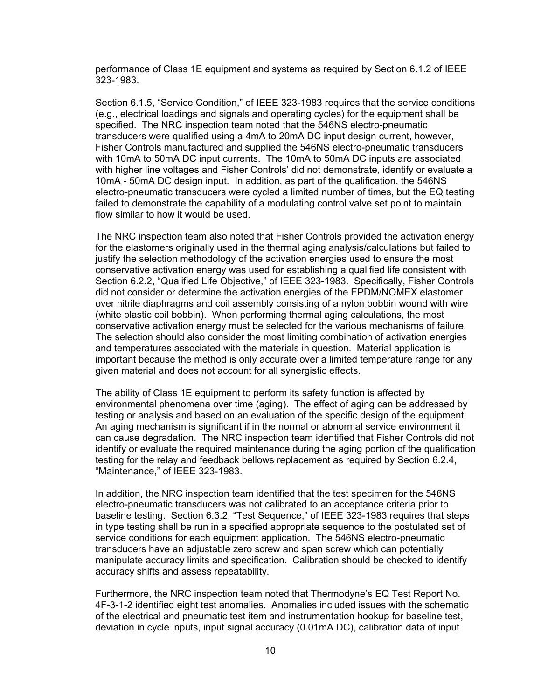performance of Class 1E equipment and systems as required by Section 6.1.2 of IEEE 323-1983.

Section 6.1.5, "Service Condition," of IEEE 323-1983 requires that the service conditions (e.g., electrical loadings and signals and operating cycles) for the equipment shall be specified. The NRC inspection team noted that the 546NS electro-pneumatic transducers were qualified using a 4mA to 20mA DC input design current, however, Fisher Controls manufactured and supplied the 546NS electro-pneumatic transducers with 10mA to 50mA DC input currents. The 10mA to 50mA DC inputs are associated with higher line voltages and Fisher Controls' did not demonstrate, identify or evaluate a 10mA - 50mA DC design input. In addition, as part of the qualification, the 546NS electro-pneumatic transducers were cycled a limited number of times, but the EQ testing failed to demonstrate the capability of a modulating control valve set point to maintain flow similar to how it would be used.

The NRC inspection team also noted that Fisher Controls provided the activation energy for the elastomers originally used in the thermal aging analysis/calculations but failed to justify the selection methodology of the activation energies used to ensure the most conservative activation energy was used for establishing a qualified life consistent with Section 6.2.2, "Qualified Life Objective," of IEEE 323-1983. Specifically, Fisher Controls did not consider or determine the activation energies of the EPDM/NOMEX elastomer over nitrile diaphragms and coil assembly consisting of a nylon bobbin wound with wire (white plastic coil bobbin). When performing thermal aging calculations, the most conservative activation energy must be selected for the various mechanisms of failure. The selection should also consider the most limiting combination of activation energies and temperatures associated with the materials in question. Material application is important because the method is only accurate over a limited temperature range for any given material and does not account for all synergistic effects.

The ability of Class 1E equipment to perform its safety function is affected by environmental phenomena over time (aging). The effect of aging can be addressed by testing or analysis and based on an evaluation of the specific design of the equipment. An aging mechanism is significant if in the normal or abnormal service environment it can cause degradation. The NRC inspection team identified that Fisher Controls did not identify or evaluate the required maintenance during the aging portion of the qualification testing for the relay and feedback bellows replacement as required by Section 6.2.4, "Maintenance," of IEEE 323-1983.

In addition, the NRC inspection team identified that the test specimen for the 546NS electro-pneumatic transducers was not calibrated to an acceptance criteria prior to baseline testing. Section 6.3.2, "Test Sequence," of IEEE 323-1983 requires that steps in type testing shall be run in a specified appropriate sequence to the postulated set of service conditions for each equipment application. The 546NS electro-pneumatic transducers have an adjustable zero screw and span screw which can potentially manipulate accuracy limits and specification. Calibration should be checked to identify accuracy shifts and assess repeatability.

Furthermore, the NRC inspection team noted that Thermodyne's EQ Test Report No. 4F-3-1-2 identified eight test anomalies. Anomalies included issues with the schematic of the electrical and pneumatic test item and instrumentation hookup for baseline test, deviation in cycle inputs, input signal accuracy (0.01mA DC), calibration data of input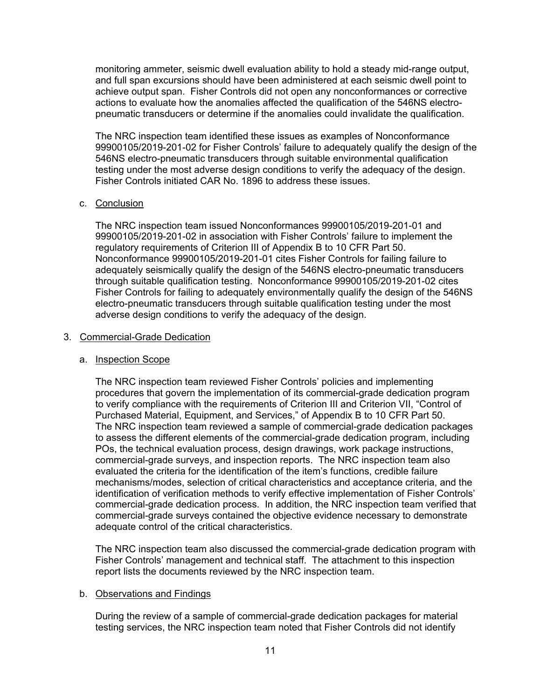monitoring ammeter, seismic dwell evaluation ability to hold a steady mid-range output, and full span excursions should have been administered at each seismic dwell point to achieve output span. Fisher Controls did not open any nonconformances or corrective actions to evaluate how the anomalies affected the qualification of the 546NS electropneumatic transducers or determine if the anomalies could invalidate the qualification.

The NRC inspection team identified these issues as examples of Nonconformance 99900105/2019-201-02 for Fisher Controls' failure to adequately qualify the design of the 546NS electro-pneumatic transducers through suitable environmental qualification testing under the most adverse design conditions to verify the adequacy of the design. Fisher Controls initiated CAR No. 1896 to address these issues.

# c. Conclusion

The NRC inspection team issued Nonconformances 99900105/2019-201-01 and 99900105/2019-201-02 in association with Fisher Controls' failure to implement the regulatory requirements of Criterion III of Appendix B to 10 CFR Part 50. Nonconformance 99900105/2019-201-01 cites Fisher Controls for failing failure to adequately seismically qualify the design of the 546NS electro-pneumatic transducers through suitable qualification testing. Nonconformance 99900105/2019-201-02 cites Fisher Controls for failing to adequately environmentally qualify the design of the 546NS electro-pneumatic transducers through suitable qualification testing under the most adverse design conditions to verify the adequacy of the design.

## 3. Commercial-Grade Dedication

# a. Inspection Scope

The NRC inspection team reviewed Fisher Controls' policies and implementing procedures that govern the implementation of its commercial-grade dedication program to verify compliance with the requirements of Criterion III and Criterion VII, "Control of Purchased Material, Equipment, and Services," of Appendix B to 10 CFR Part 50. The NRC inspection team reviewed a sample of commercial-grade dedication packages to assess the different elements of the commercial-grade dedication program, including POs, the technical evaluation process, design drawings, work package instructions, commercial-grade surveys, and inspection reports. The NRC inspection team also evaluated the criteria for the identification of the item's functions, credible failure mechanisms/modes, selection of critical characteristics and acceptance criteria, and the identification of verification methods to verify effective implementation of Fisher Controls' commercial-grade dedication process. In addition, the NRC inspection team verified that commercial-grade surveys contained the objective evidence necessary to demonstrate adequate control of the critical characteristics.

The NRC inspection team also discussed the commercial-grade dedication program with Fisher Controls' management and technical staff. The attachment to this inspection report lists the documents reviewed by the NRC inspection team.

## b. Observations and Findings

During the review of a sample of commercial-grade dedication packages for material testing services, the NRC inspection team noted that Fisher Controls did not identify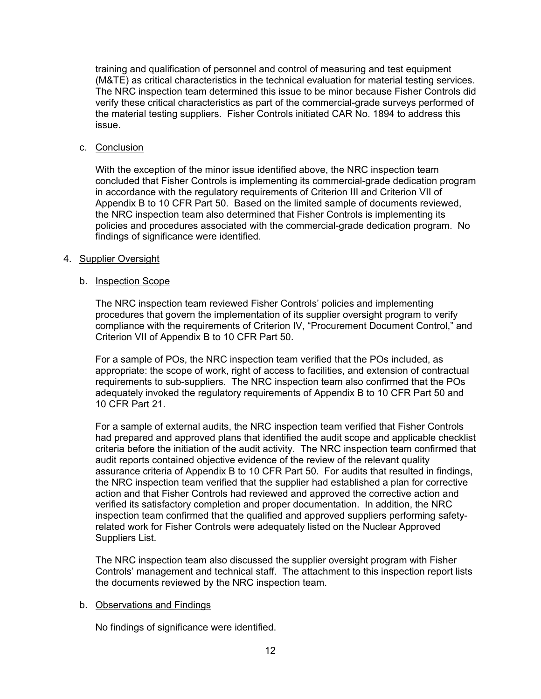training and qualification of personnel and control of measuring and test equipment (M&TE) as critical characteristics in the technical evaluation for material testing services. The NRC inspection team determined this issue to be minor because Fisher Controls did verify these critical characteristics as part of the commercial-grade surveys performed of the material testing suppliers. Fisher Controls initiated CAR No. 1894 to address this issue.

## c. Conclusion

With the exception of the minor issue identified above, the NRC inspection team concluded that Fisher Controls is implementing its commercial-grade dedication program in accordance with the regulatory requirements of Criterion III and Criterion VII of Appendix B to 10 CFR Part 50. Based on the limited sample of documents reviewed, the NRC inspection team also determined that Fisher Controls is implementing its policies and procedures associated with the commercial-grade dedication program. No findings of significance were identified.

## 4. Supplier Oversight

## b. Inspection Scope

The NRC inspection team reviewed Fisher Controls' policies and implementing procedures that govern the implementation of its supplier oversight program to verify compliance with the requirements of Criterion IV, "Procurement Document Control," and Criterion VII of Appendix B to 10 CFR Part 50.

For a sample of POs, the NRC inspection team verified that the POs included, as appropriate: the scope of work, right of access to facilities, and extension of contractual requirements to sub-suppliers. The NRC inspection team also confirmed that the POs adequately invoked the regulatory requirements of Appendix B to 10 CFR Part 50 and 10 CFR Part 21.

For a sample of external audits, the NRC inspection team verified that Fisher Controls had prepared and approved plans that identified the audit scope and applicable checklist criteria before the initiation of the audit activity. The NRC inspection team confirmed that audit reports contained objective evidence of the review of the relevant quality assurance criteria of Appendix B to 10 CFR Part 50. For audits that resulted in findings, the NRC inspection team verified that the supplier had established a plan for corrective action and that Fisher Controls had reviewed and approved the corrective action and verified its satisfactory completion and proper documentation. In addition, the NRC inspection team confirmed that the qualified and approved suppliers performing safetyrelated work for Fisher Controls were adequately listed on the Nuclear Approved Suppliers List.

The NRC inspection team also discussed the supplier oversight program with Fisher Controls' management and technical staff. The attachment to this inspection report lists the documents reviewed by the NRC inspection team.

## b. Observations and Findings

No findings of significance were identified.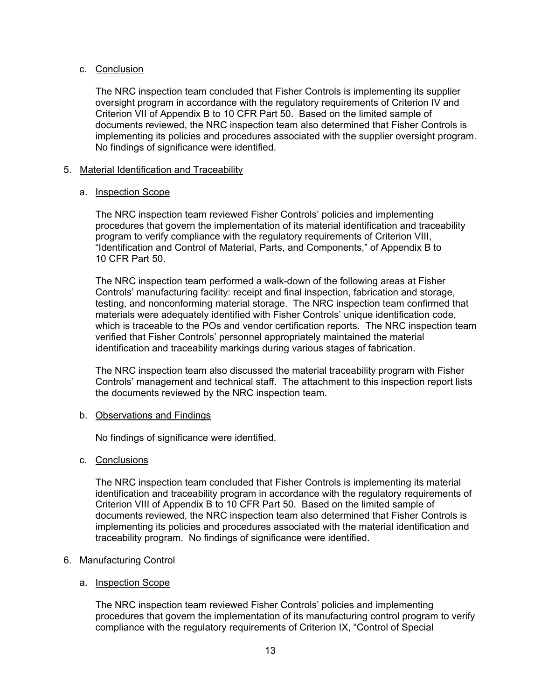## c. Conclusion

The NRC inspection team concluded that Fisher Controls is implementing its supplier oversight program in accordance with the regulatory requirements of Criterion IV and Criterion VII of Appendix B to 10 CFR Part 50. Based on the limited sample of documents reviewed, the NRC inspection team also determined that Fisher Controls is implementing its policies and procedures associated with the supplier oversight program. No findings of significance were identified.

## 5. Material Identification and Traceability

## a. Inspection Scope

The NRC inspection team reviewed Fisher Controls' policies and implementing procedures that govern the implementation of its material identification and traceability program to verify compliance with the regulatory requirements of Criterion VIII, "Identification and Control of Material, Parts, and Components," of Appendix B to 10 CFR Part 50.

The NRC inspection team performed a walk-down of the following areas at Fisher Controls' manufacturing facility: receipt and final inspection, fabrication and storage, testing, and nonconforming material storage. The NRC inspection team confirmed that materials were adequately identified with Fisher Controls' unique identification code, which is traceable to the POs and vendor certification reports. The NRC inspection team verified that Fisher Controls' personnel appropriately maintained the material identification and traceability markings during various stages of fabrication.

The NRC inspection team also discussed the material traceability program with Fisher Controls' management and technical staff. The attachment to this inspection report lists the documents reviewed by the NRC inspection team.

## b. Observations and Findings

No findings of significance were identified.

# c. Conclusions

The NRC inspection team concluded that Fisher Controls is implementing its material identification and traceability program in accordance with the regulatory requirements of Criterion VIII of Appendix B to 10 CFR Part 50. Based on the limited sample of documents reviewed, the NRC inspection team also determined that Fisher Controls is implementing its policies and procedures associated with the material identification and traceability program. No findings of significance were identified.

# 6. Manufacturing Control

## a. Inspection Scope

The NRC inspection team reviewed Fisher Controls' policies and implementing procedures that govern the implementation of its manufacturing control program to verify compliance with the regulatory requirements of Criterion IX, "Control of Special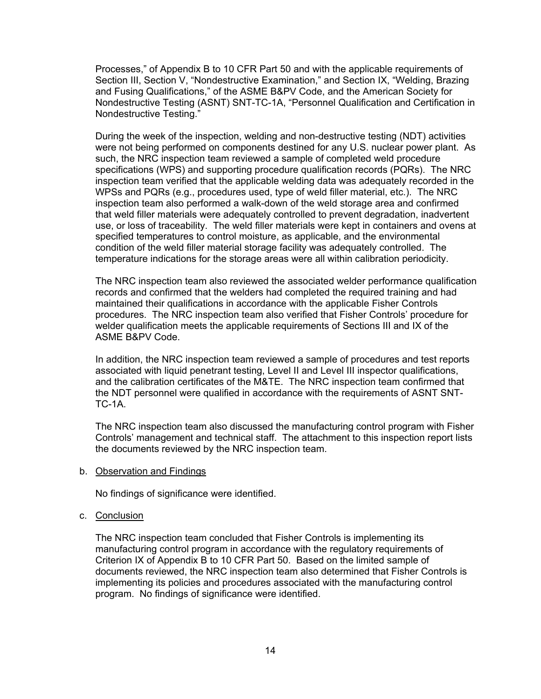Processes," of Appendix B to 10 CFR Part 50 and with the applicable requirements of Section III, Section V, "Nondestructive Examination," and Section IX, "Welding, Brazing and Fusing Qualifications," of the ASME B&PV Code, and the American Society for Nondestructive Testing (ASNT) SNT-TC-1A, "Personnel Qualification and Certification in Nondestructive Testing."

During the week of the inspection, welding and non-destructive testing (NDT) activities were not being performed on components destined for any U.S. nuclear power plant. As such, the NRC inspection team reviewed a sample of completed weld procedure specifications (WPS) and supporting procedure qualification records (PQRs). The NRC inspection team verified that the applicable welding data was adequately recorded in the WPSs and PQRs (e.g., procedures used, type of weld filler material, etc.). The NRC inspection team also performed a walk-down of the weld storage area and confirmed that weld filler materials were adequately controlled to prevent degradation, inadvertent use, or loss of traceability. The weld filler materials were kept in containers and ovens at specified temperatures to control moisture, as applicable, and the environmental condition of the weld filler material storage facility was adequately controlled. The temperature indications for the storage areas were all within calibration periodicity.

The NRC inspection team also reviewed the associated welder performance qualification records and confirmed that the welders had completed the required training and had maintained their qualifications in accordance with the applicable Fisher Controls procedures. The NRC inspection team also verified that Fisher Controls' procedure for welder qualification meets the applicable requirements of Sections III and IX of the ASME B&PV Code.

In addition, the NRC inspection team reviewed a sample of procedures and test reports associated with liquid penetrant testing, Level II and Level III inspector qualifications, and the calibration certificates of the M&TE. The NRC inspection team confirmed that the NDT personnel were qualified in accordance with the requirements of ASNT SNT-TC-1A.

The NRC inspection team also discussed the manufacturing control program with Fisher Controls' management and technical staff. The attachment to this inspection report lists the documents reviewed by the NRC inspection team.

b. Observation and Findings

No findings of significance were identified.

## c. Conclusion

The NRC inspection team concluded that Fisher Controls is implementing its manufacturing control program in accordance with the regulatory requirements of Criterion IX of Appendix B to 10 CFR Part 50. Based on the limited sample of documents reviewed, the NRC inspection team also determined that Fisher Controls is implementing its policies and procedures associated with the manufacturing control program. No findings of significance were identified.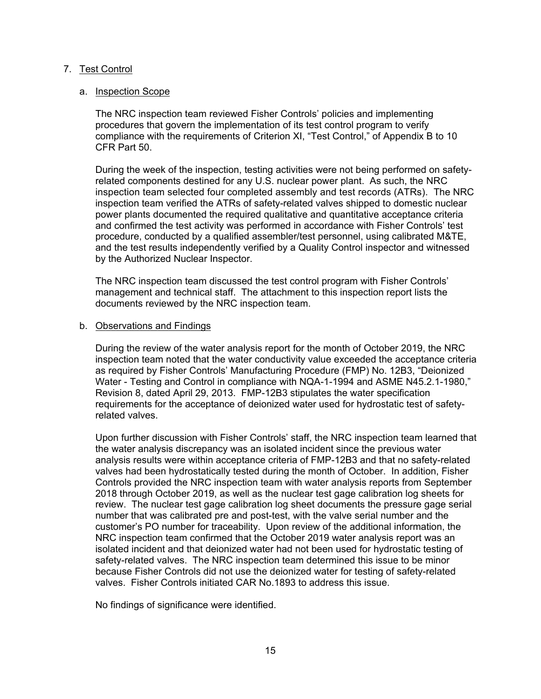# 7. Test Control

## a. Inspection Scope

The NRC inspection team reviewed Fisher Controls' policies and implementing procedures that govern the implementation of its test control program to verify compliance with the requirements of Criterion XI, "Test Control," of Appendix B to 10 CFR Part 50.

During the week of the inspection, testing activities were not being performed on safetyrelated components destined for any U.S. nuclear power plant. As such, the NRC inspection team selected four completed assembly and test records (ATRs). The NRC inspection team verified the ATRs of safety-related valves shipped to domestic nuclear power plants documented the required qualitative and quantitative acceptance criteria and confirmed the test activity was performed in accordance with Fisher Controls' test procedure, conducted by a qualified assembler/test personnel, using calibrated M&TE, and the test results independently verified by a Quality Control inspector and witnessed by the Authorized Nuclear Inspector.

The NRC inspection team discussed the test control program with Fisher Controls' management and technical staff. The attachment to this inspection report lists the documents reviewed by the NRC inspection team.

## b. Observations and Findings

During the review of the water analysis report for the month of October 2019, the NRC inspection team noted that the water conductivity value exceeded the acceptance criteria as required by Fisher Controls' Manufacturing Procedure (FMP) No. 12B3, "Deionized Water - Testing and Control in compliance with NQA-1-1994 and ASME N45.2.1-1980," Revision 8, dated April 29, 2013. FMP-12B3 stipulates the water specification requirements for the acceptance of deionized water used for hydrostatic test of safetyrelated valves.

Upon further discussion with Fisher Controls' staff, the NRC inspection team learned that the water analysis discrepancy was an isolated incident since the previous water analysis results were within acceptance criteria of FMP-12B3 and that no safety-related valves had been hydrostatically tested during the month of October. In addition, Fisher Controls provided the NRC inspection team with water analysis reports from September 2018 through October 2019, as well as the nuclear test gage calibration log sheets for review. The nuclear test gage calibration log sheet documents the pressure gage serial number that was calibrated pre and post-test, with the valve serial number and the customer's PO number for traceability. Upon review of the additional information, the NRC inspection team confirmed that the October 2019 water analysis report was an isolated incident and that deionized water had not been used for hydrostatic testing of safety-related valves. The NRC inspection team determined this issue to be minor because Fisher Controls did not use the deionized water for testing of safety-related valves. Fisher Controls initiated CAR No.1893 to address this issue.

No findings of significance were identified.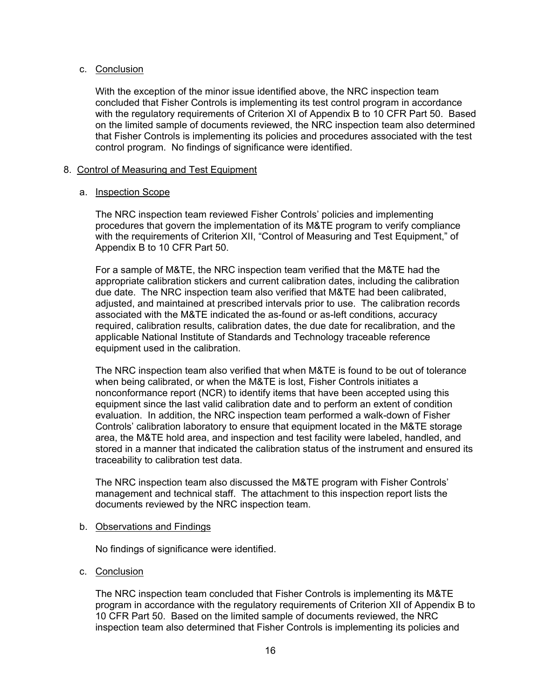## c. Conclusion

With the exception of the minor issue identified above, the NRC inspection team concluded that Fisher Controls is implementing its test control program in accordance with the regulatory requirements of Criterion XI of Appendix B to 10 CFR Part 50. Based on the limited sample of documents reviewed, the NRC inspection team also determined that Fisher Controls is implementing its policies and procedures associated with the test control program. No findings of significance were identified.

## 8. Control of Measuring and Test Equipment

## a. Inspection Scope

The NRC inspection team reviewed Fisher Controls' policies and implementing procedures that govern the implementation of its M&TE program to verify compliance with the requirements of Criterion XII, "Control of Measuring and Test Equipment," of Appendix B to 10 CFR Part 50.

For a sample of M&TE, the NRC inspection team verified that the M&TE had the appropriate calibration stickers and current calibration dates, including the calibration due date. The NRC inspection team also verified that M&TE had been calibrated, adjusted, and maintained at prescribed intervals prior to use. The calibration records associated with the M&TE indicated the as-found or as-left conditions, accuracy required, calibration results, calibration dates, the due date for recalibration, and the applicable National Institute of Standards and Technology traceable reference equipment used in the calibration.

The NRC inspection team also verified that when M&TE is found to be out of tolerance when being calibrated, or when the M&TE is lost, Fisher Controls initiates a nonconformance report (NCR) to identify items that have been accepted using this equipment since the last valid calibration date and to perform an extent of condition evaluation. In addition, the NRC inspection team performed a walk-down of Fisher Controls' calibration laboratory to ensure that equipment located in the M&TE storage area, the M&TE hold area, and inspection and test facility were labeled, handled, and stored in a manner that indicated the calibration status of the instrument and ensured its traceability to calibration test data.

The NRC inspection team also discussed the M&TE program with Fisher Controls' management and technical staff. The attachment to this inspection report lists the documents reviewed by the NRC inspection team.

## b. Observations and Findings

No findings of significance were identified.

# c. Conclusion

The NRC inspection team concluded that Fisher Controls is implementing its M&TE program in accordance with the regulatory requirements of Criterion XII of Appendix B to 10 CFR Part 50. Based on the limited sample of documents reviewed, the NRC inspection team also determined that Fisher Controls is implementing its policies and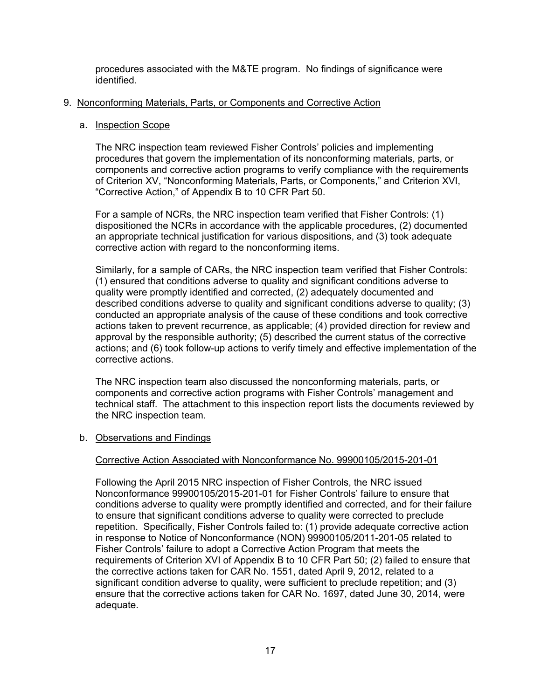procedures associated with the M&TE program. No findings of significance were identified.

## 9. Nonconforming Materials, Parts, or Components and Corrective Action

## a. Inspection Scope

The NRC inspection team reviewed Fisher Controls' policies and implementing procedures that govern the implementation of its nonconforming materials, parts, or components and corrective action programs to verify compliance with the requirements of Criterion XV, "Nonconforming Materials, Parts, or Components," and Criterion XVI, "Corrective Action," of Appendix B to 10 CFR Part 50.

For a sample of NCRs, the NRC inspection team verified that Fisher Controls: (1) dispositioned the NCRs in accordance with the applicable procedures, (2) documented an appropriate technical justification for various dispositions, and (3) took adequate corrective action with regard to the nonconforming items.

Similarly, for a sample of CARs, the NRC inspection team verified that Fisher Controls: (1) ensured that conditions adverse to quality and significant conditions adverse to quality were promptly identified and corrected, (2) adequately documented and described conditions adverse to quality and significant conditions adverse to quality; (3) conducted an appropriate analysis of the cause of these conditions and took corrective actions taken to prevent recurrence, as applicable; (4) provided direction for review and approval by the responsible authority; (5) described the current status of the corrective actions; and (6) took follow-up actions to verify timely and effective implementation of the corrective actions.

The NRC inspection team also discussed the nonconforming materials, parts, or components and corrective action programs with Fisher Controls' management and technical staff. The attachment to this inspection report lists the documents reviewed by the NRC inspection team.

## b. Observations and Findings

## Corrective Action Associated with Nonconformance No. 99900105/2015-201-01

Following the April 2015 NRC inspection of Fisher Controls, the NRC issued Nonconformance 99900105/2015-201-01 for Fisher Controls' failure to ensure that conditions adverse to quality were promptly identified and corrected, and for their failure to ensure that significant conditions adverse to quality were corrected to preclude repetition. Specifically, Fisher Controls failed to: (1) provide adequate corrective action in response to Notice of Nonconformance (NON) 99900105/2011-201-05 related to Fisher Controls' failure to adopt a Corrective Action Program that meets the requirements of Criterion XVI of Appendix B to 10 CFR Part 50; (2) failed to ensure that the corrective actions taken for CAR No. 1551, dated April 9, 2012, related to a significant condition adverse to quality, were sufficient to preclude repetition; and (3) ensure that the corrective actions taken for CAR No. 1697, dated June 30, 2014, were adequate.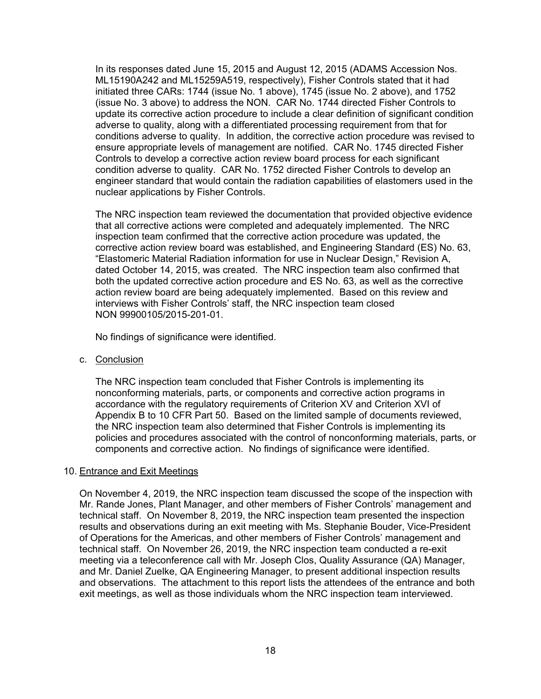In its responses dated June 15, 2015 and August 12, 2015 (ADAMS Accession Nos. ML15190A242 and ML15259A519, respectively), Fisher Controls stated that it had initiated three CARs: 1744 (issue No. 1 above), 1745 (issue No. 2 above), and 1752 (issue No. 3 above) to address the NON. CAR No. 1744 directed Fisher Controls to update its corrective action procedure to include a clear definition of significant condition adverse to quality, along with a differentiated processing requirement from that for conditions adverse to quality. In addition, the corrective action procedure was revised to ensure appropriate levels of management are notified. CAR No. 1745 directed Fisher Controls to develop a corrective action review board process for each significant condition adverse to quality. CAR No. 1752 directed Fisher Controls to develop an engineer standard that would contain the radiation capabilities of elastomers used in the nuclear applications by Fisher Controls.

The NRC inspection team reviewed the documentation that provided objective evidence that all corrective actions were completed and adequately implemented. The NRC inspection team confirmed that the corrective action procedure was updated, the corrective action review board was established, and Engineering Standard (ES) No. 63, "Elastomeric Material Radiation information for use in Nuclear Design," Revision A, dated October 14, 2015, was created. The NRC inspection team also confirmed that both the updated corrective action procedure and ES No. 63, as well as the corrective action review board are being adequately implemented. Based on this review and interviews with Fisher Controls' staff, the NRC inspection team closed NON 99900105/2015-201-01.

No findings of significance were identified.

c. Conclusion

The NRC inspection team concluded that Fisher Controls is implementing its nonconforming materials, parts, or components and corrective action programs in accordance with the regulatory requirements of Criterion XV and Criterion XVI of Appendix B to 10 CFR Part 50. Based on the limited sample of documents reviewed, the NRC inspection team also determined that Fisher Controls is implementing its policies and procedures associated with the control of nonconforming materials, parts, or components and corrective action. No findings of significance were identified.

# 10. Entrance and Exit Meetings

On November 4, 2019, the NRC inspection team discussed the scope of the inspection with Mr. Rande Jones, Plant Manager, and other members of Fisher Controls' management and technical staff. On November 8, 2019, the NRC inspection team presented the inspection results and observations during an exit meeting with Ms. Stephanie Bouder, Vice-President of Operations for the Americas, and other members of Fisher Controls' management and technical staff. On November 26, 2019, the NRC inspection team conducted a re-exit meeting via a teleconference call with Mr. Joseph Clos, Quality Assurance (QA) Manager, and Mr. Daniel Zuelke, QA Engineering Manager, to present additional inspection results and observations. The attachment to this report lists the attendees of the entrance and both exit meetings, as well as those individuals whom the NRC inspection team interviewed.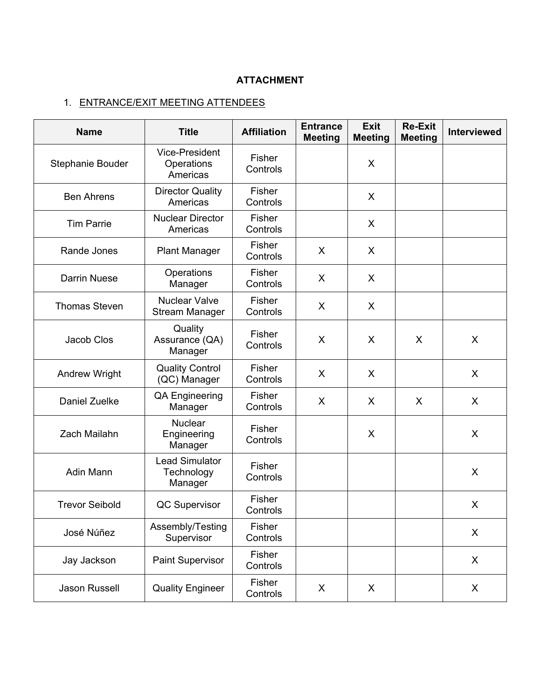# **ATTACHMENT**

# 1. ENTRANCE/EXIT MEETING ATTENDEES

| <b>Name</b>           | <b>Title</b>                                    | <b>Affiliation</b>        | <b>Entrance</b><br><b>Meeting</b> | <b>Exit</b><br><b>Meeting</b> | <b>Re-Exit</b><br><b>Meeting</b> | <b>Interviewed</b> |
|-----------------------|-------------------------------------------------|---------------------------|-----------------------------------|-------------------------------|----------------------------------|--------------------|
| Stephanie Bouder      | <b>Vice-President</b><br>Operations<br>Americas | Fisher<br>Controls        |                                   | X                             |                                  |                    |
| <b>Ben Ahrens</b>     | <b>Director Quality</b><br>Americas             | Fisher<br>Controls        |                                   | X                             |                                  |                    |
| <b>Tim Parrie</b>     | <b>Nuclear Director</b><br>Americas             | <b>Fisher</b><br>Controls |                                   | X                             |                                  |                    |
| Rande Jones           | <b>Plant Manager</b>                            | Fisher<br>Controls        | X                                 | X                             |                                  |                    |
| <b>Darrin Nuese</b>   | Operations<br>Manager                           | Fisher<br>Controls        | X                                 | X                             |                                  |                    |
| <b>Thomas Steven</b>  | <b>Nuclear Valve</b><br><b>Stream Manager</b>   | Fisher<br>Controls        | X                                 | X                             |                                  |                    |
| Jacob Clos            | Quality<br>Assurance (QA)<br>Manager            | <b>Fisher</b><br>Controls | X                                 | X                             | X                                | X                  |
| <b>Andrew Wright</b>  | <b>Quality Control</b><br>(QC) Manager          | Fisher<br>Controls        | X                                 | X                             |                                  | X                  |
| Daniel Zuelke         | <b>QA Engineering</b><br>Manager                | <b>Fisher</b><br>Controls | X                                 | X                             | $\mathsf{X}$                     | X                  |
| Zach Mailahn          | <b>Nuclear</b><br>Engineering<br>Manager        | Fisher<br>Controls        |                                   | X                             |                                  | X                  |
| Adin Mann             | <b>Lead Simulator</b><br>Technology<br>Manager  | Fisher<br>Controls        |                                   |                               |                                  | X                  |
| <b>Trevor Seibold</b> | <b>QC Supervisor</b>                            | Fisher<br>Controls        |                                   |                               |                                  | X                  |
| José Núñez            | Assembly/Testing<br>Supervisor                  | Fisher<br>Controls        |                                   |                               |                                  | X                  |
| Jay Jackson           | Paint Supervisor                                | Fisher<br>Controls        |                                   |                               |                                  | X                  |
| <b>Jason Russell</b>  | <b>Quality Engineer</b>                         | Fisher<br>Controls        | X                                 | X                             |                                  | X                  |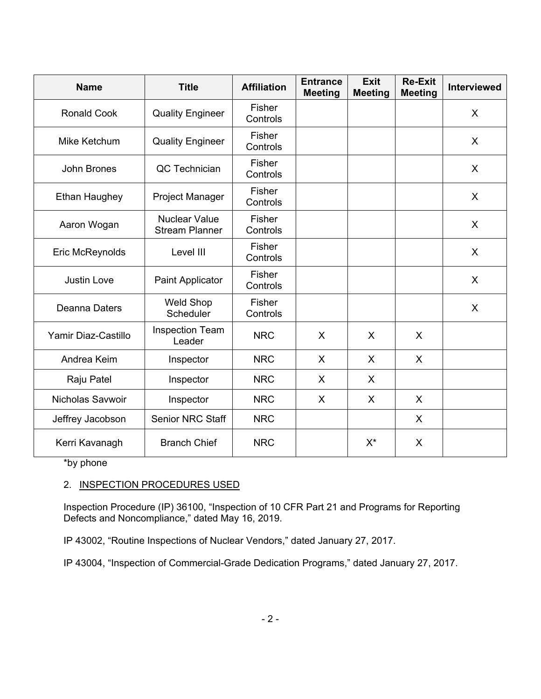| <b>Name</b>          | <b>Title</b>                                  | <b>Affiliation</b>        | <b>Entrance</b><br><b>Meeting</b> | <b>Exit</b><br><b>Meeting</b> | <b>Re-Exit</b><br><b>Meeting</b> | Interviewed |
|----------------------|-----------------------------------------------|---------------------------|-----------------------------------|-------------------------------|----------------------------------|-------------|
| <b>Ronald Cook</b>   | <b>Quality Engineer</b>                       | Fisher<br>Controls        |                                   |                               |                                  | X           |
| Mike Ketchum         | <b>Quality Engineer</b>                       | Fisher<br>Controls        |                                   |                               |                                  | $\sf X$     |
| John Brones          | QC Technician                                 | Fisher<br>Controls        |                                   |                               |                                  | X           |
| <b>Ethan Haughey</b> | Project Manager                               | Fisher<br>Controls        |                                   |                               |                                  | X           |
| Aaron Wogan          | <b>Nuclear Value</b><br><b>Stream Planner</b> | <b>Fisher</b><br>Controls |                                   |                               |                                  | X           |
| Eric McReynolds      | Level III                                     | <b>Fisher</b><br>Controls |                                   |                               |                                  | X           |
| <b>Justin Love</b>   | Paint Applicator                              | <b>Fisher</b><br>Controls |                                   |                               |                                  | X           |
| Deanna Daters        | <b>Weld Shop</b><br>Scheduler                 | Fisher<br>Controls        |                                   |                               |                                  | $\sf X$     |
| Yamir Diaz-Castillo  | <b>Inspection Team</b><br>Leader              | <b>NRC</b>                | X                                 | X                             | $\sf X$                          |             |
| Andrea Keim          | Inspector                                     | <b>NRC</b>                | X                                 | $\mathsf{X}$                  | $\sf X$                          |             |
| Raju Patel           | Inspector                                     | <b>NRC</b>                | X                                 | X                             |                                  |             |
| Nicholas Savwoir     | Inspector                                     | <b>NRC</b>                | X                                 | X                             | X                                |             |
| Jeffrey Jacobson     | <b>Senior NRC Staff</b>                       | <b>NRC</b>                |                                   |                               | X                                |             |
| Kerri Kavanagh       | <b>Branch Chief</b>                           | <b>NRC</b>                |                                   | $X^*$                         | X                                |             |

\*by phone

# 2. INSPECTION PROCEDURES USED

Inspection Procedure (IP) 36100, "Inspection of 10 CFR Part 21 and Programs for Reporting Defects and Noncompliance," dated May 16, 2019.

IP 43002, "Routine Inspections of Nuclear Vendors," dated January 27, 2017.

IP 43004, "Inspection of Commercial-Grade Dedication Programs," dated January 27, 2017.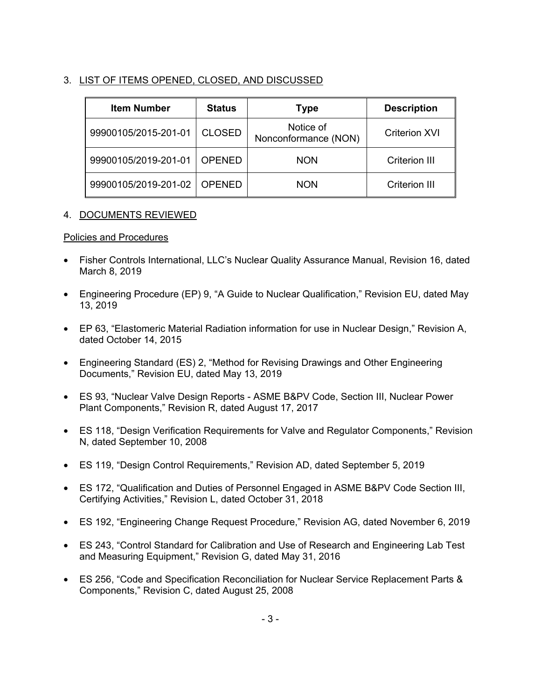# 3. LIST OF ITEMS OPENED, CLOSED, AND DISCUSSED

| <b>Item Number</b>   | <b>Status</b> | <b>Type</b>                       | <b>Description</b>   |
|----------------------|---------------|-----------------------------------|----------------------|
| 99900105/2015-201-01 | <b>CLOSED</b> | Notice of<br>Nonconformance (NON) | <b>Criterion XVI</b> |
| 99900105/2019-201-01 | <b>OPENED</b> | <b>NON</b>                        | <b>Criterion III</b> |
| 99900105/2019-201-02 | <b>OPENED</b> | <b>NON</b>                        | <b>Criterion III</b> |

# 4. DOCUMENTS REVIEWED

# Policies and Procedures

- Fisher Controls International, LLC's Nuclear Quality Assurance Manual, Revision 16, dated March 8, 2019
- Engineering Procedure (EP) 9, "A Guide to Nuclear Qualification," Revision EU, dated May 13, 2019
- EP 63, "Elastomeric Material Radiation information for use in Nuclear Design," Revision A, dated October 14, 2015
- Engineering Standard (ES) 2, "Method for Revising Drawings and Other Engineering Documents," Revision EU, dated May 13, 2019
- ES 93, "Nuclear Valve Design Reports ASME B&PV Code, Section III, Nuclear Power Plant Components," Revision R, dated August 17, 2017
- ES 118, "Design Verification Requirements for Valve and Regulator Components," Revision N, dated September 10, 2008
- ES 119, "Design Control Requirements," Revision AD, dated September 5, 2019
- ES 172, "Qualification and Duties of Personnel Engaged in ASME B&PV Code Section III, Certifying Activities," Revision L, dated October 31, 2018
- ES 192, "Engineering Change Request Procedure," Revision AG, dated November 6, 2019
- ES 243, "Control Standard for Calibration and Use of Research and Engineering Lab Test and Measuring Equipment," Revision G, dated May 31, 2016
- ES 256, "Code and Specification Reconciliation for Nuclear Service Replacement Parts & Components," Revision C, dated August 25, 2008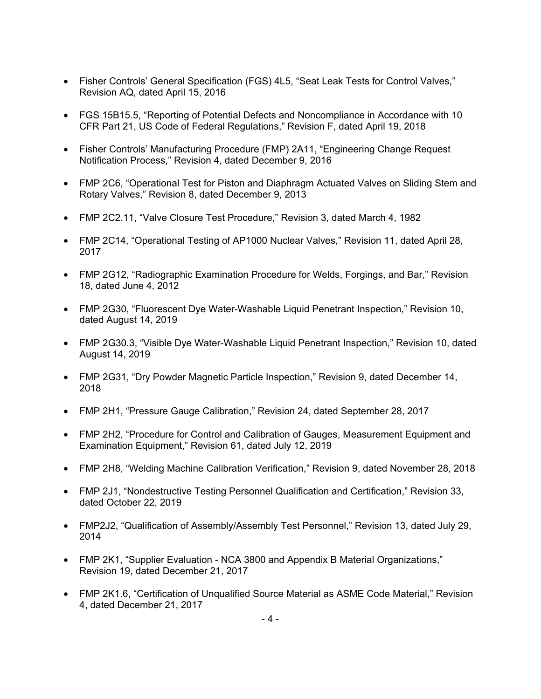- Fisher Controls' General Specification (FGS) 4L5, "Seat Leak Tests for Control Valves," Revision AQ, dated April 15, 2016
- FGS 15B15.5, "Reporting of Potential Defects and Noncompliance in Accordance with 10 CFR Part 21, US Code of Federal Regulations," Revision F, dated April 19, 2018
- Fisher Controls' Manufacturing Procedure (FMP) 2A11, "Engineering Change Request Notification Process," Revision 4, dated December 9, 2016
- FMP 2C6, "Operational Test for Piston and Diaphragm Actuated Valves on Sliding Stem and Rotary Valves," Revision 8, dated December 9, 2013
- FMP 2C2.11, "Valve Closure Test Procedure," Revision 3, dated March 4, 1982
- FMP 2C14, "Operational Testing of AP1000 Nuclear Valves," Revision 11, dated April 28, 2017
- FMP 2G12, "Radiographic Examination Procedure for Welds, Forgings, and Bar," Revision 18, dated June 4, 2012
- FMP 2G30, "Fluorescent Dye Water-Washable Liquid Penetrant Inspection," Revision 10, dated August 14, 2019
- FMP 2G30.3, "Visible Dye Water-Washable Liquid Penetrant Inspection," Revision 10, dated August 14, 2019
- FMP 2G31, "Dry Powder Magnetic Particle Inspection," Revision 9, dated December 14, 2018
- FMP 2H1, "Pressure Gauge Calibration," Revision 24, dated September 28, 2017
- FMP 2H2, "Procedure for Control and Calibration of Gauges, Measurement Equipment and Examination Equipment," Revision 61, dated July 12, 2019
- FMP 2H8, "Welding Machine Calibration Verification," Revision 9, dated November 28, 2018
- FMP 2J1, "Nondestructive Testing Personnel Qualification and Certification," Revision 33, dated October 22, 2019
- FMP2J2, "Qualification of Assembly/Assembly Test Personnel," Revision 13, dated July 29, 2014
- FMP 2K1, "Supplier Evaluation NCA 3800 and Appendix B Material Organizations," Revision 19, dated December 21, 2017
- FMP 2K1.6, "Certification of Unqualified Source Material as ASME Code Material," Revision 4, dated December 21, 2017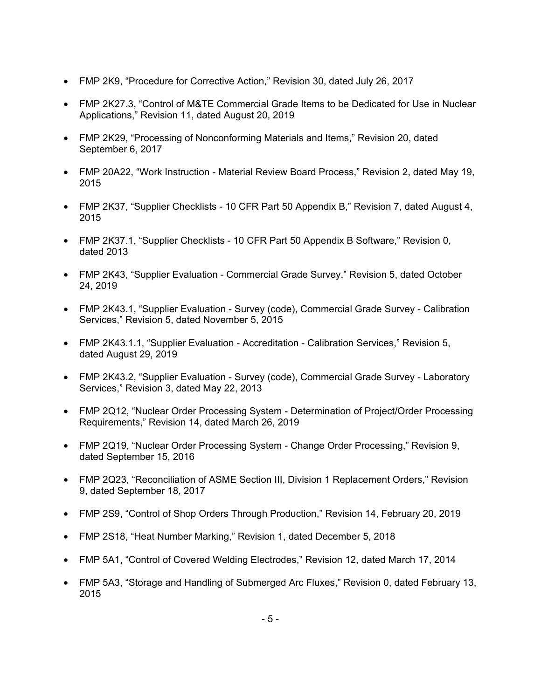- FMP 2K9, "Procedure for Corrective Action," Revision 30, dated July 26, 2017
- FMP 2K27.3, "Control of M&TE Commercial Grade Items to be Dedicated for Use in Nuclear Applications," Revision 11, dated August 20, 2019
- FMP 2K29, "Processing of Nonconforming Materials and Items," Revision 20, dated September 6, 2017
- FMP 20A22, "Work Instruction Material Review Board Process," Revision 2, dated May 19, 2015
- FMP 2K37, "Supplier Checklists 10 CFR Part 50 Appendix B," Revision 7, dated August 4, 2015
- FMP 2K37.1, "Supplier Checklists 10 CFR Part 50 Appendix B Software," Revision 0, dated 2013
- FMP 2K43, "Supplier Evaluation Commercial Grade Survey," Revision 5, dated October 24, 2019
- FMP 2K43.1, "Supplier Evaluation Survey (code), Commercial Grade Survey Calibration Services," Revision 5, dated November 5, 2015
- FMP 2K43.1.1, "Supplier Evaluation Accreditation Calibration Services," Revision 5, dated August 29, 2019
- FMP 2K43.2, "Supplier Evaluation Survey (code), Commercial Grade Survey Laboratory Services," Revision 3, dated May 22, 2013
- FMP 2Q12, "Nuclear Order Processing System Determination of Project/Order Processing Requirements," Revision 14, dated March 26, 2019
- FMP 2Q19, "Nuclear Order Processing System Change Order Processing," Revision 9, dated September 15, 2016
- FMP 2Q23, "Reconciliation of ASME Section III, Division 1 Replacement Orders," Revision 9, dated September 18, 2017
- FMP 2S9, "Control of Shop Orders Through Production," Revision 14, February 20, 2019
- FMP 2S18, "Heat Number Marking," Revision 1, dated December 5, 2018
- FMP 5A1, "Control of Covered Welding Electrodes," Revision 12, dated March 17, 2014
- FMP 5A3, "Storage and Handling of Submerged Arc Fluxes," Revision 0, dated February 13, 2015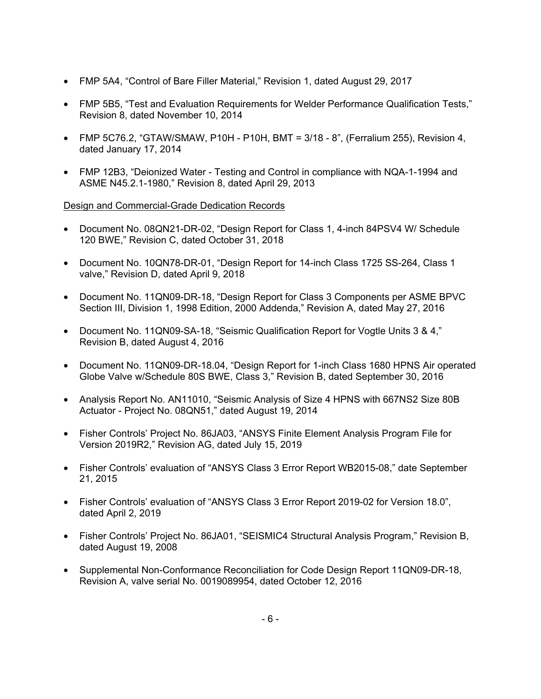- FMP 5A4, "Control of Bare Filler Material," Revision 1, dated August 29, 2017
- FMP 5B5, "Test and Evaluation Requirements for Welder Performance Qualification Tests," Revision 8, dated November 10, 2014
- FMP 5C76.2, "GTAW/SMAW, P10H P10H, BMT = 3/18 8", (Ferralium 255), Revision 4, dated January 17, 2014
- FMP 12B3, "Deionized Water Testing and Control in compliance with NQA-1-1994 and ASME N45.2.1-1980," Revision 8, dated April 29, 2013

Design and Commercial-Grade Dedication Records

- Document No. 08QN21-DR-02, "Design Report for Class 1, 4-inch 84PSV4 W/ Schedule 120 BWE," Revision C, dated October 31, 2018
- Document No. 10QN78-DR-01, "Design Report for 14-inch Class 1725 SS-264, Class 1 valve," Revision D, dated April 9, 2018
- Document No. 11QN09-DR-18, "Design Report for Class 3 Components per ASME BPVC Section III, Division 1, 1998 Edition, 2000 Addenda," Revision A, dated May 27, 2016
- Document No. 11QN09-SA-18, "Seismic Qualification Report for Vogtle Units 3 & 4," Revision B, dated August 4, 2016
- Document No. 11QN09-DR-18.04, "Design Report for 1-inch Class 1680 HPNS Air operated Globe Valve w/Schedule 80S BWE, Class 3," Revision B, dated September 30, 2016
- Analysis Report No. AN11010, "Seismic Analysis of Size 4 HPNS with 667NS2 Size 80B Actuator - Project No. 08QN51," dated August 19, 2014
- Fisher Controls' Project No. 86JA03, "ANSYS Finite Element Analysis Program File for Version 2019R2," Revision AG, dated July 15, 2019
- Fisher Controls' evaluation of "ANSYS Class 3 Error Report WB2015-08," date September 21, 2015
- Fisher Controls' evaluation of "ANSYS Class 3 Error Report 2019-02 for Version 18.0", dated April 2, 2019
- Fisher Controls' Project No. 86JA01, "SEISMIC4 Structural Analysis Program," Revision B, dated August 19, 2008
- Supplemental Non-Conformance Reconciliation for Code Design Report 11QN09-DR-18, Revision A, valve serial No. 0019089954, dated October 12, 2016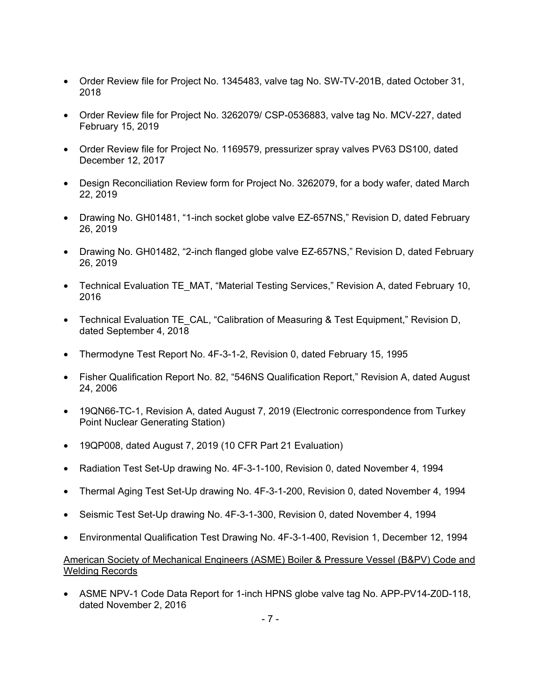- Order Review file for Project No. 1345483, valve tag No. SW-TV-201B, dated October 31, 2018
- Order Review file for Project No. 3262079/ CSP-0536883, valve tag No. MCV-227, dated February 15, 2019
- Order Review file for Project No. 1169579, pressurizer spray valves PV63 DS100, dated December 12, 2017
- Design Reconciliation Review form for Project No. 3262079, for a body wafer, dated March 22, 2019
- Drawing No. GH01481, "1-inch socket globe valve EZ-657NS," Revision D, dated February 26, 2019
- Drawing No. GH01482, "2-inch flanged globe valve EZ-657NS," Revision D, dated February 26, 2019
- Technical Evaluation TE\_MAT, "Material Testing Services," Revision A, dated February 10, 2016
- Technical Evaluation TE\_CAL, "Calibration of Measuring & Test Equipment," Revision D, dated September 4, 2018
- Thermodyne Test Report No. 4F-3-1-2, Revision 0, dated February 15, 1995
- Fisher Qualification Report No. 82, "546NS Qualification Report," Revision A, dated August 24, 2006
- 19QN66-TC-1, Revision A, dated August 7, 2019 (Electronic correspondence from Turkey Point Nuclear Generating Station)
- 19QP008, dated August 7, 2019 (10 CFR Part 21 Evaluation)
- Radiation Test Set-Up drawing No. 4F-3-1-100, Revision 0, dated November 4, 1994
- Thermal Aging Test Set-Up drawing No. 4F-3-1-200, Revision 0, dated November 4, 1994
- Seismic Test Set-Up drawing No. 4F-3-1-300, Revision 0, dated November 4, 1994
- Environmental Qualification Test Drawing No. 4F-3-1-400, Revision 1, December 12, 1994

# American Society of Mechanical Engineers (ASME) Boiler & Pressure Vessel (B&PV) Code and Welding Records

• ASME NPV-1 Code Data Report for 1-inch HPNS globe valve tag No. APP-PV14-Z0D-118, dated November 2, 2016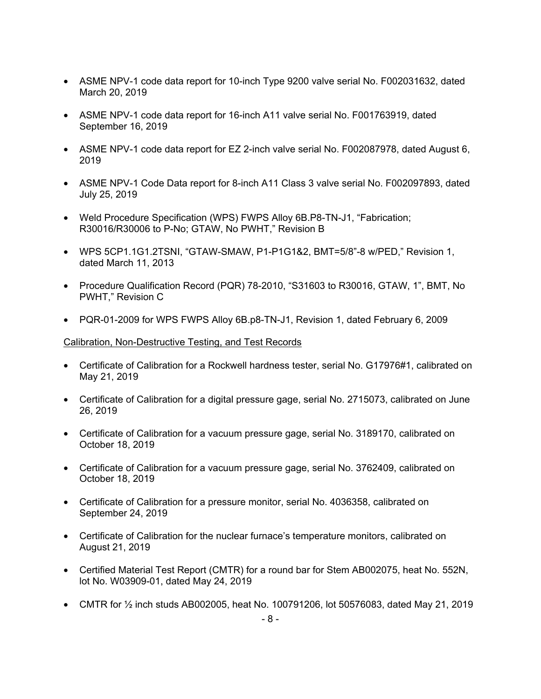- ASME NPV-1 code data report for 10-inch Type 9200 valve serial No. F002031632, dated March 20, 2019
- ASME NPV-1 code data report for 16-inch A11 valve serial No. F001763919, dated September 16, 2019
- ASME NPV-1 code data report for EZ 2-inch valve serial No. F002087978, dated August 6, 2019
- ASME NPV-1 Code Data report for 8-inch A11 Class 3 valve serial No. F002097893, dated July 25, 2019
- Weld Procedure Specification (WPS) FWPS Alloy 6B.P8-TN-J1, "Fabrication; R30016/R30006 to P-No; GTAW, No PWHT," Revision B
- WPS 5CP1.1G1.2TSNI, "GTAW-SMAW, P1-P1G1&2, BMT=5/8"-8 w/PED," Revision 1, dated March 11, 2013
- Procedure Qualification Record (PQR) 78-2010, "S31603 to R30016, GTAW, 1", BMT, No PWHT," Revision C
- PQR-01-2009 for WPS FWPS Alloy 6B.p8-TN-J1, Revision 1, dated February 6, 2009

## Calibration, Non-Destructive Testing, and Test Records

- Certificate of Calibration for a Rockwell hardness tester, serial No. G17976#1, calibrated on May 21, 2019
- Certificate of Calibration for a digital pressure gage, serial No. 2715073, calibrated on June 26, 2019
- Certificate of Calibration for a vacuum pressure gage, serial No. 3189170, calibrated on October 18, 2019
- Certificate of Calibration for a vacuum pressure gage, serial No. 3762409, calibrated on October 18, 2019
- Certificate of Calibration for a pressure monitor, serial No. 4036358, calibrated on September 24, 2019
- Certificate of Calibration for the nuclear furnace's temperature monitors, calibrated on August 21, 2019
- Certified Material Test Report (CMTR) for a round bar for Stem AB002075, heat No. 552N, lot No. W03909-01, dated May 24, 2019
- CMTR for ½ inch studs AB002005, heat No. 100791206, lot 50576083, dated May 21, 2019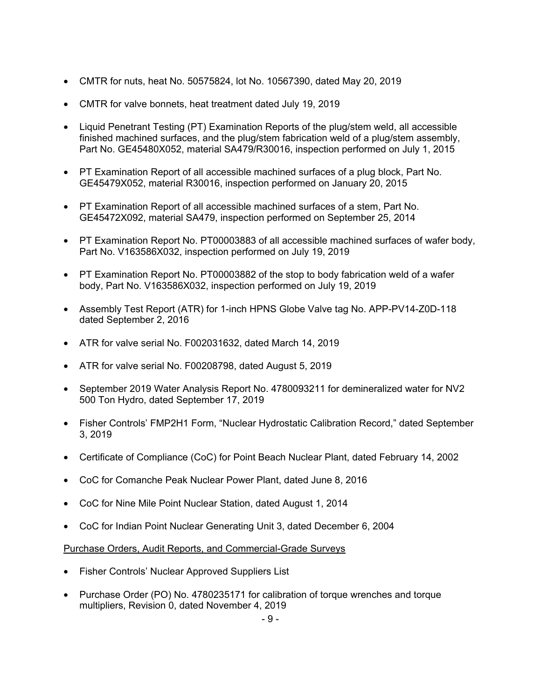- CMTR for nuts, heat No. 50575824, lot No. 10567390, dated May 20, 2019
- CMTR for valve bonnets, heat treatment dated July 19, 2019
- Liquid Penetrant Testing (PT) Examination Reports of the plug/stem weld, all accessible finished machined surfaces, and the plug/stem fabrication weld of a plug/stem assembly, Part No. GE45480X052, material SA479/R30016, inspection performed on July 1, 2015
- PT Examination Report of all accessible machined surfaces of a plug block, Part No. GE45479X052, material R30016, inspection performed on January 20, 2015
- PT Examination Report of all accessible machined surfaces of a stem, Part No. GE45472X092, material SA479, inspection performed on September 25, 2014
- PT Examination Report No. PT00003883 of all accessible machined surfaces of wafer body, Part No. V163586X032, inspection performed on July 19, 2019
- PT Examination Report No. PT00003882 of the stop to body fabrication weld of a wafer body, Part No. V163586X032, inspection performed on July 19, 2019
- Assembly Test Report (ATR) for 1-inch HPNS Globe Valve tag No. APP-PV14-Z0D-118 dated September 2, 2016
- ATR for valve serial No. F002031632, dated March 14, 2019
- ATR for valve serial No. F00208798, dated August 5, 2019
- September 2019 Water Analysis Report No. 4780093211 for demineralized water for NV2 500 Ton Hydro, dated September 17, 2019
- Fisher Controls' FMP2H1 Form, "Nuclear Hydrostatic Calibration Record," dated September 3, 2019
- Certificate of Compliance (CoC) for Point Beach Nuclear Plant, dated February 14, 2002
- CoC for Comanche Peak Nuclear Power Plant, dated June 8, 2016
- CoC for Nine Mile Point Nuclear Station, dated August 1, 2014
- CoC for Indian Point Nuclear Generating Unit 3, dated December 6, 2004

## Purchase Orders, Audit Reports, and Commercial-Grade Surveys

- Fisher Controls' Nuclear Approved Suppliers List
- Purchase Order (PO) No. 4780235171 for calibration of torque wrenches and torque multipliers, Revision 0, dated November 4, 2019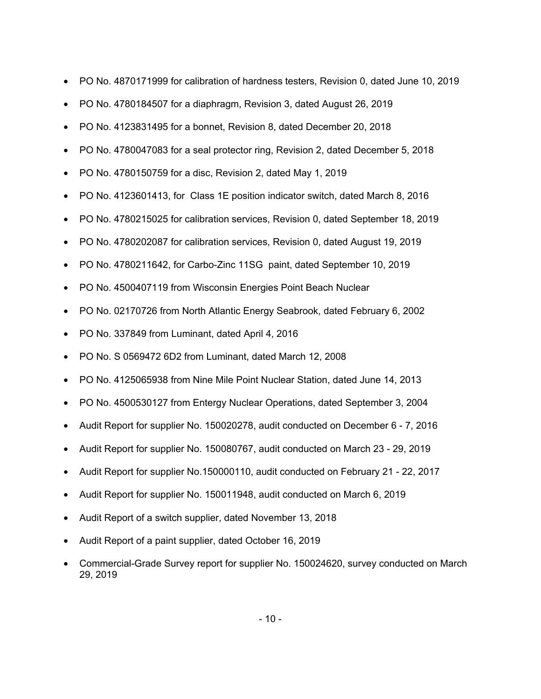- PO No. 4870171999 for calibration of hardness testers, Revision 0, dated June 10, 2019
- PO No. 4780184507 for a diaphragm, Revision 3, dated August 26, 2019
- PO No. 4123831495 for a bonnet, Revision 8, dated December 20, 2018
- PO No. 4780047083 for a seal protector ring, Revision 2, dated December 5, 2018
- PO No. 4780150759 for a disc, Revision 2, dated May 1, 2019
- PO No. 4123601413, for Class 1E position indicator switch, dated March 8, 2016
- PO No. 4780215025 for calibration services, Revision 0, dated September 18, 2019
- PO No. 4780202087 for calibration services, Revision 0, dated August 19, 2019
- PO No. 4780211642, for Carbo-Zinc 11SG paint, dated September 10, 2019
- PO No. 4500407119 from Wisconsin Energies Point Beach Nuclear
- PO No. 02170726 from North Atlantic Energy Seabrook, dated February 6, 2002
- PO No. 337849 from Luminant, dated April 4, 2016
- PO No. S 0569472 6D2 from Luminant, dated March 12, 2008
- PO No. 4125065938 from Nine Mile Point Nuclear Station, dated June 14, 2013
- PO No. 4500530127 from Entergy Nuclear Operations, dated September 3, 2004
- Audit Report for supplier No. 150020278, audit conducted on December 6 7, 2016
- Audit Report for supplier No. 150080767, audit conducted on March 23 29, 2019
- Audit Report for supplier No.150000110, audit conducted on February 21 22, 2017
- Audit Report for supplier No. 150011948, audit conducted on March 6, 2019
- Audit Report of a switch supplier, dated November 13, 2018
- Audit Report of a paint supplier, dated October 16, 2019
- Commercial-Grade Survey report for supplier No. 150024620, survey conducted on March 29, 2019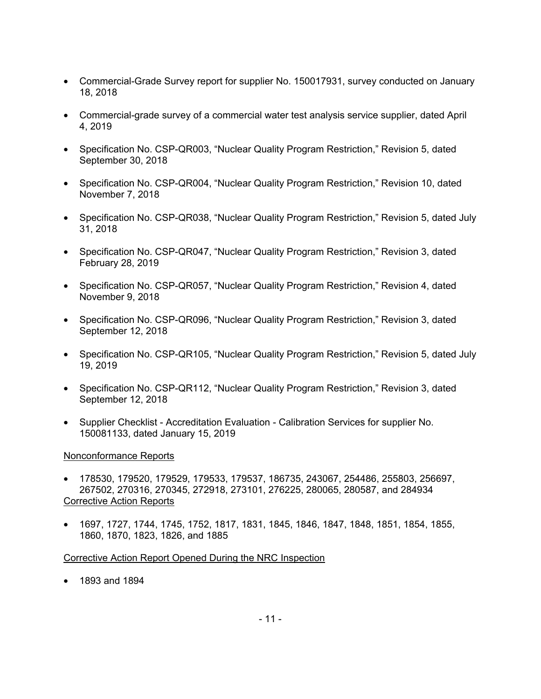- Commercial-Grade Survey report for supplier No. 150017931, survey conducted on January 18, 2018
- Commercial-grade survey of a commercial water test analysis service supplier, dated April 4, 2019
- Specification No. CSP-QR003, "Nuclear Quality Program Restriction," Revision 5, dated September 30, 2018
- Specification No. CSP-QR004, "Nuclear Quality Program Restriction," Revision 10, dated November 7, 2018
- Specification No. CSP-QR038, "Nuclear Quality Program Restriction," Revision 5, dated July 31, 2018
- Specification No. CSP-QR047, "Nuclear Quality Program Restriction," Revision 3, dated February 28, 2019
- Specification No. CSP-QR057, "Nuclear Quality Program Restriction," Revision 4, dated November 9, 2018
- Specification No. CSP-QR096, "Nuclear Quality Program Restriction," Revision 3, dated September 12, 2018
- Specification No. CSP-QR105, "Nuclear Quality Program Restriction," Revision 5, dated July 19, 2019
- Specification No. CSP-QR112, "Nuclear Quality Program Restriction," Revision 3, dated September 12, 2018
- Supplier Checklist Accreditation Evaluation Calibration Services for supplier No. 150081133, dated January 15, 2019

## Nonconformance Reports

- 178530, 179520, 179529, 179533, 179537, 186735, 243067, 254486, 255803, 256697, 267502, 270316, 270345, 272918, 273101, 276225, 280065, 280587, and 284934 Corrective Action Reports
- 1697, 1727, 1744, 1745, 1752, 1817, 1831, 1845, 1846, 1847, 1848, 1851, 1854, 1855, 1860, 1870, 1823, 1826, and 1885

Corrective Action Report Opened During the NRC Inspection

• 1893 and 1894